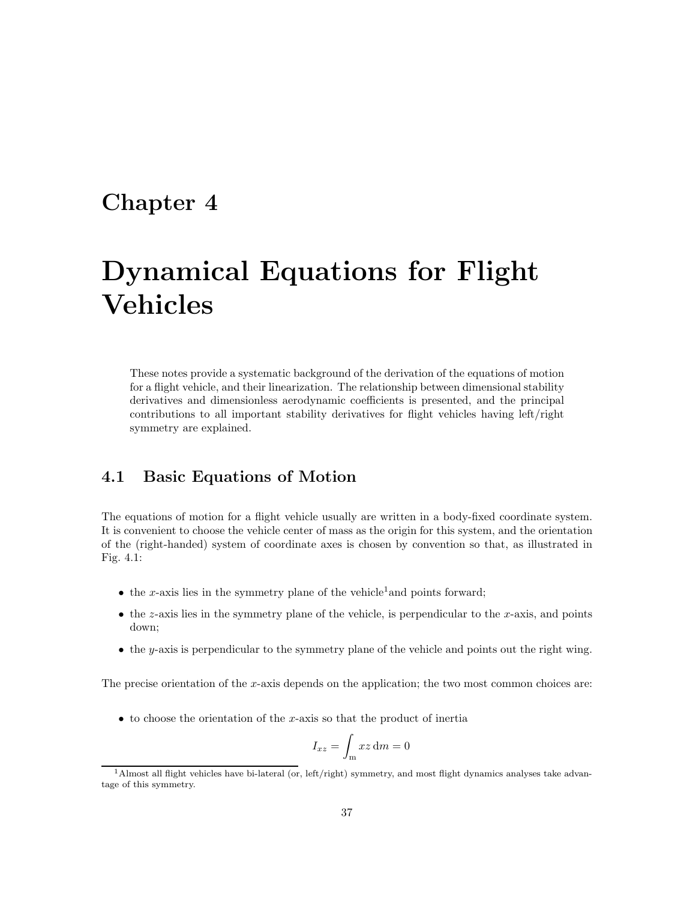## Chapter 4

# Dynamical Equations for Flight Vehicles

These notes provide a systematic background of the derivation of the equations of motion for a flight vehicle, and their linearization. The relationship between dimensional stability derivatives and dimensionless aerodynamic coefficients is presented, and the principal contributions to all important stability derivatives for flight vehicles having left/right symmetry are explained.

### 4.1 Basic Equations of Motion

The equations of motion for a flight vehicle usually are written in a body-fixed coordinate system. It is convenient to choose the vehicle center of mass as the origin for this system, and the orientation of the (right-handed) system of coordinate axes is chosen by convention so that, as illustrated in Fig. 4.1:

- the x-axis lies in the symmetry plane of the vehicle<sup>1</sup> and points forward;
- the z-axis lies in the symmetry plane of the vehicle, is perpendicular to the x-axis, and points down;
- the y-axis is perpendicular to the symmetry plane of the vehicle and points out the right wing.

The precise orientation of the x-axis depends on the application; the two most common choices are:

 $\bullet$  to choose the orientation of the x-axis so that the product of inertia

$$
I_{xz} = \int_{\mathbf{m}} xz \, \mathrm{d}m = 0
$$

<sup>&</sup>lt;sup>1</sup> Almost all flight vehicles have bi-lateral (or, left/right) symmetry, and most flight dynamics analyses take advantage of this symmetry.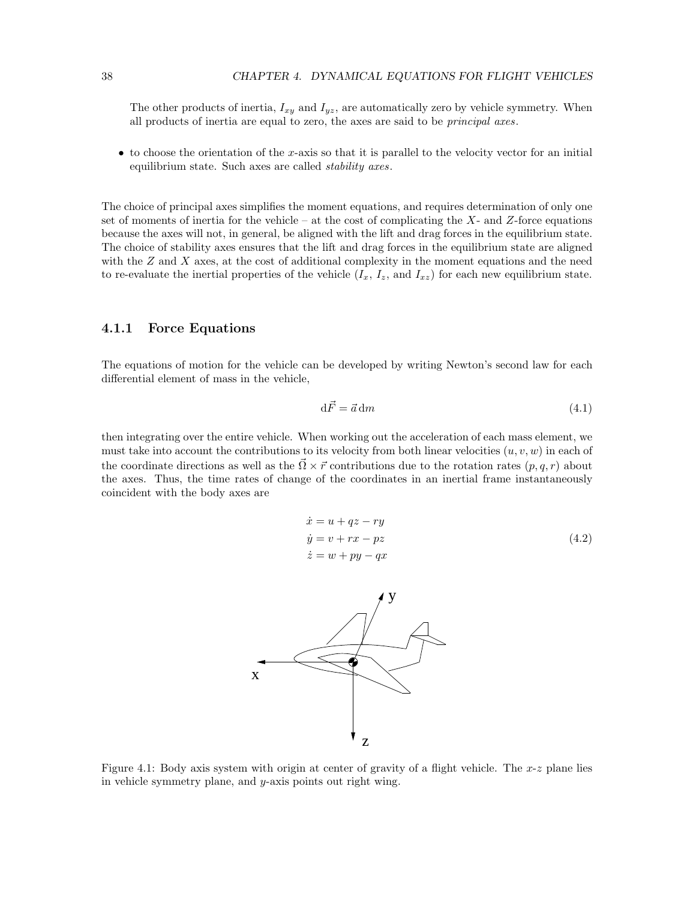The other products of inertia,  $I_{xy}$  and  $I_{yz}$ , are automatically zero by vehicle symmetry. When all products of inertia are equal to zero, the axes are said to be principal axes.

• to choose the orientation of the x-axis so that it is parallel to the velocity vector for an initial equilibrium state. Such axes are called stability axes.

The choice of principal axes simplifies the moment equations, and requires determination of only one set of moments of inertia for the vehicle – at the cost of complicating the  $X$ - and  $Z$ -force equations because the axes will not, in general, be aligned with the lift and drag forces in the equilibrium state. The choice of stability axes ensures that the lift and drag forces in the equilibrium state are aligned with the  $Z$  and  $X$  axes, at the cost of additional complexity in the moment equations and the need to re-evaluate the inertial properties of the vehicle  $(I_x, I_z, \text{ and } I_{xz})$  for each new equilibrium state.

#### 4.1.1 Force Equations

The equations of motion for the vehicle can be developed by writing Newton's second law for each differential element of mass in the vehicle,

$$
d\vec{F} = \vec{a}\,dm\tag{4.1}
$$

then integrating over the entire vehicle. When working out the acceleration of each mass element, we must take into account the contributions to its velocity from both linear velocities  $(u, v, w)$  in each of the coordinate directions as well as the  $\vec{\Omega} \times \vec{r}$  contributions due to the rotation rates  $(p, q, r)$  about the axes. Thus, the time rates of change of the coordinates in an inertial frame instantaneously coincident with the body axes are

$$
\begin{aligned}\n\dot{x} &= u + qz - ry \\
\dot{y} &= v + rx - pz \\
\dot{z} &= w + py - qx\n\end{aligned} \tag{4.2}
$$



Figure 4.1: Body axis system with origin at center of gravity of a flight vehicle. The  $x-z$  plane lies in vehicle symmetry plane, and y-axis points out right wing.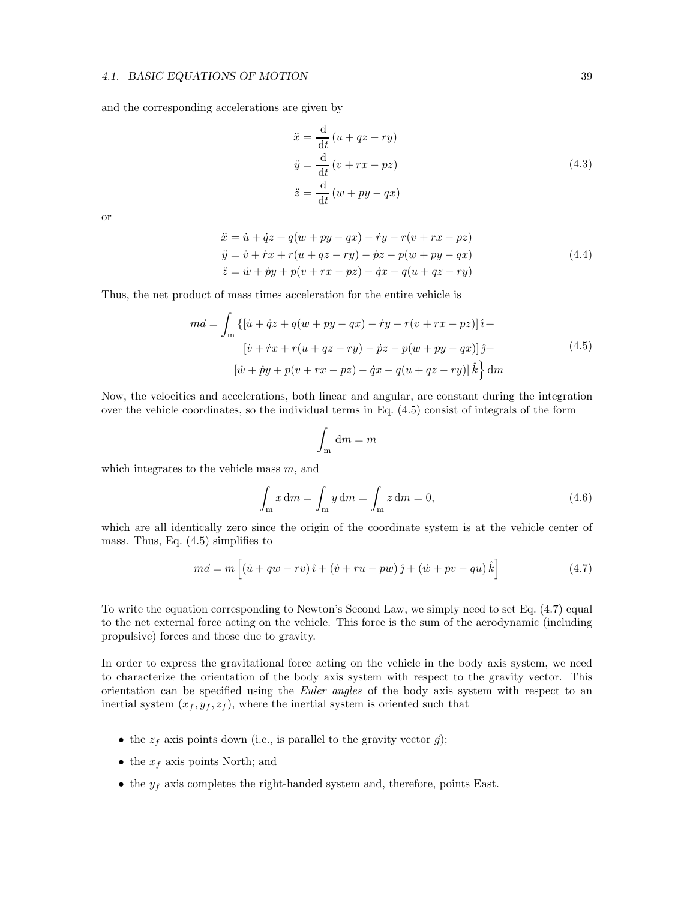and the corresponding accelerations are given by

$$
\ddot{x} = \frac{d}{dt} (u + qz - ry)
$$
  
\n
$$
\ddot{y} = \frac{d}{dt} (v + rx - pz)
$$
  
\n
$$
\ddot{z} = \frac{d}{dt} (w + py - qx)
$$
\n(4.3)

or

$$
\ddot{x} = \dot{u} + \dot{q}z + q(w + py - qx) - \dot{r}y - r(v + rx - pz) \n\ddot{y} = \dot{v} + \dot{r}x + r(u + qz - ry) - \dot{p}z - p(w + py - qx) \n\ddot{z} = \dot{w} + \dot{p}y + p(v + rx - pz) - \dot{q}x - q(u + qz - ry)
$$
\n(4.4)

Thus, the net product of mass times acceleration for the entire vehicle is

$$
m\vec{a} = \int_{m} \left\{ \left[ \dot{u} + \dot{q}z + q(w + py - qx) - \dot{r}y - r(v + rx - pz) \right] \hat{i} + \left[ \dot{v} + \dot{r}x + r(u + qz - ry) - \dot{p}z - p(w + py - qx) \right] \hat{j} + \left[ \dot{w} + \dot{p}y + p(v + rx - pz) - \dot{q}x - q(u + qz - ry) \right] \hat{k} \right\} dm
$$
\n(4.5)

Now, the velocities and accelerations, both linear and angular, are constant during the integration over the vehicle coordinates, so the individual terms in Eq. (4.5) consist of integrals of the form

$$
\int_{\mathbf{m}} \mathbf{d}m = m
$$

which integrates to the vehicle mass  $m$ , and

$$
\int_{\mathbf{m}} x \, \mathrm{d}m = \int_{\mathbf{m}} y \, \mathrm{d}m = \int_{\mathbf{m}} z \, \mathrm{d}m = 0,\tag{4.6}
$$

which are all identically zero since the origin of the coordinate system is at the vehicle center of mass. Thus, Eq. (4.5) simplifies to

$$
m\vec{a} = m\left[ (\dot{u} + qw - rv)\hat{\imath} + (\dot{v} + ru - pw)\hat{\jmath} + (\dot{w} + pv - qu)\hat{k} \right]
$$
\n(4.7)

To write the equation corresponding to Newton's Second Law, we simply need to set Eq. (4.7) equal to the net external force acting on the vehicle. This force is the sum of the aerodynamic (including propulsive) forces and those due to gravity.

In order to express the gravitational force acting on the vehicle in the body axis system, we need to characterize the orientation of the body axis system with respect to the gravity vector. This orientation can be specified using the Euler angles of the body axis system with respect to an inertial system  $(x_f, y_f, z_f)$ , where the inertial system is oriented such that

- the  $z_f$  axis points down (i.e., is parallel to the gravity vector  $\vec{g}$ );
- the  $x_f$  axis points North; and
- the  $y_f$  axis completes the right-handed system and, therefore, points East.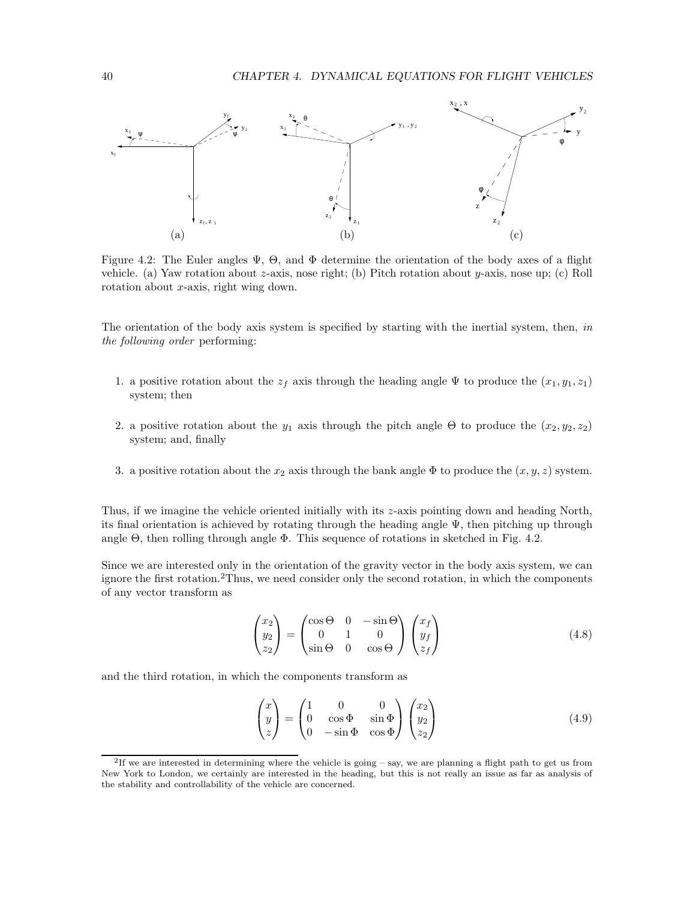

Figure 4.2: The Euler angles  $\Psi$ ,  $\Theta$ , and  $\Phi$  determine the orientation of the body axes of a flight vehicle. (a) Yaw rotation about  $z$ -axis, nose right; (b) Pitch rotation about  $y$ -axis, nose up; (c) Roll rotation about x-axis, right wing down.

The orientation of the body axis system is specified by starting with the inertial system, then,  $in$ the following order performing:

- 1. a positive rotation about the  $z_f$  axis through the heading angle  $\Psi$  to produce the  $(x_1, y_1, z_1)$ system; then
- 2. a positive rotation about the  $y_1$  axis through the pitch angle  $\Theta$  to produce the  $(x_2, y_2, z_2)$ system; and, finally
- 3. a positive rotation about the  $x_2$  axis through the bank angle  $\Phi$  to produce the  $(x, y, z)$  system.

Thus, if we imagine the vehicle oriented initially with its z-axis pointing down and heading North, its final orientation is achieved by rotating through the heading angle  $\Psi$ , then pitching up through angle  $\Theta$ , then rolling through angle  $\Phi$ . This sequence of rotations in sketched in Fig. 4.2.

Since we are interested only in the orientation of the gravity vector in the body axis system, we can ignore the first rotation.<sup>2</sup>Thus, we need consider only the second rotation, in which the components of any vector transform as

$$
\begin{pmatrix} x_2 \\ y_2 \\ z_2 \end{pmatrix} = \begin{pmatrix} \cos \Theta & 0 & -\sin \Theta \\ 0 & 1 & 0 \\ \sin \Theta & 0 & \cos \Theta \end{pmatrix} \begin{pmatrix} x_f \\ y_f \\ z_f \end{pmatrix}
$$
(4.8)

and the third rotation, in which the components transform as

$$
\begin{pmatrix} x \\ y \\ z \end{pmatrix} = \begin{pmatrix} 1 & 0 & 0 \\ 0 & \cos \Phi & \sin \Phi \\ 0 & -\sin \Phi & \cos \Phi \end{pmatrix} \begin{pmatrix} x_2 \\ y_2 \\ z_2 \end{pmatrix}
$$
(4.9)

<sup>&</sup>lt;sup>2</sup>If we are interested in determining where the vehicle is going – say, we are planning a flight path to get us from New York to London, we certainly are interested in the heading, but this is not really an issue as far as analysis of the stability and controllability of the vehicle are concerned.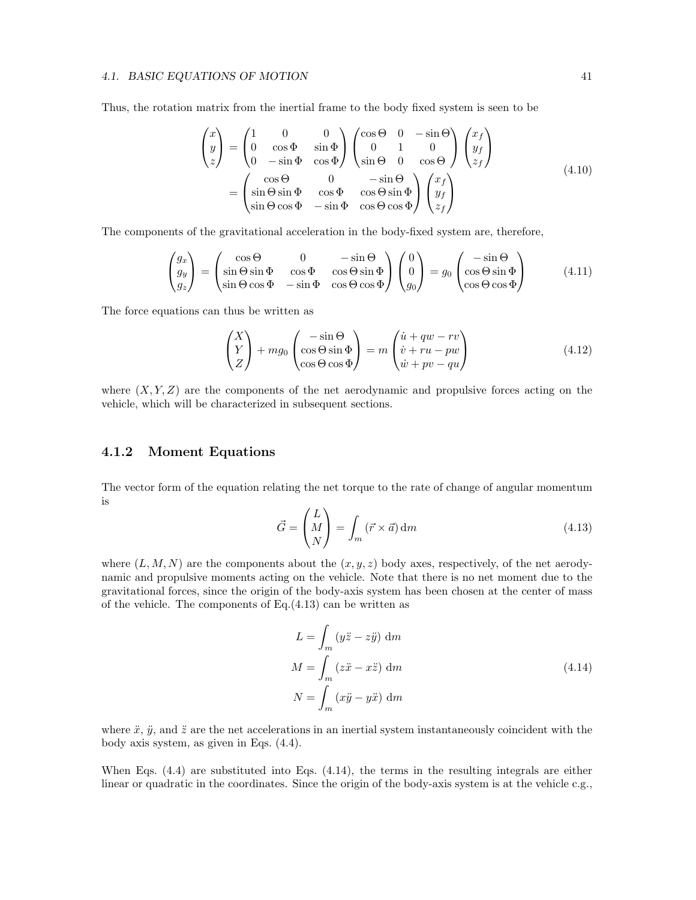Thus, the rotation matrix from the inertial frame to the body fixed system is seen to be

$$
\begin{pmatrix} x \ y \ z \end{pmatrix} = \begin{pmatrix} 1 & 0 & 0 \ 0 & \cos \Phi & \sin \Phi \\ 0 & -\sin \Phi & \cos \Phi \end{pmatrix} \begin{pmatrix} \cos \Theta & 0 & -\sin \Theta \\ 0 & 1 & 0 \\ \sin \Theta & 0 & \cos \Theta \end{pmatrix} \begin{pmatrix} x_f \\ y_f \\ z_f \end{pmatrix}
$$

$$
= \begin{pmatrix} \cos \Theta & 0 & -\sin \Theta \\ \sin \Theta \sin \Phi & \cos \Phi & \cos \Theta \sin \Phi \\ \sin \Theta \cos \Phi & -\sin \Phi & \cos \Theta \cos \Phi \end{pmatrix} \begin{pmatrix} x_f \\ y_f \\ z_f \end{pmatrix}
$$
(4.10)

The components of the gravitational acceleration in the body-fixed system are, therefore,

$$
\begin{pmatrix} g_x \\ g_y \\ g_z \end{pmatrix} = \begin{pmatrix} \cos \Theta & 0 & -\sin \Theta \\ \sin \Theta \sin \Phi & \cos \Phi & \cos \Theta \sin \Phi \\ \sin \Theta \cos \Phi & -\sin \Phi & \cos \Theta \cos \Phi \end{pmatrix} \begin{pmatrix} 0 \\ 0 \\ g_0 \end{pmatrix} = g_0 \begin{pmatrix} -\sin \Theta \\ \cos \Theta \sin \Phi \\ \cos \Theta \cos \Phi \end{pmatrix}
$$
(4.11)

The force equations can thus be written as

$$
\begin{pmatrix} X \ Y \ Z \end{pmatrix} + mg_0 \begin{pmatrix} -\sin \Theta \\ \cos \Theta \sin \Phi \\ \cos \Theta \cos \Phi \end{pmatrix} = m \begin{pmatrix} \dot{u} + qw - rv \\ \dot{v} + ru - pw \\ \dot{w} + pv - qu \end{pmatrix}
$$
(4.12)

where  $(X, Y, Z)$  are the components of the net aerodynamic and propulsive forces acting on the vehicle, which will be characterized in subsequent sections.

#### 4.1.2 Moment Equations

The vector form of the equation relating the net torque to the rate of change of angular momentum is

$$
\vec{G} = \begin{pmatrix} L \\ M \\ N \end{pmatrix} = \int_{m} (\vec{r} \times \vec{a}) \, dm \tag{4.13}
$$

where  $(L, M, N)$  are the components about the  $(x, y, z)$  body axes, respectively, of the net aerodynamic and propulsive moments acting on the vehicle. Note that there is no net moment due to the gravitational forces, since the origin of the body-axis system has been chosen at the center of mass of the vehicle. The components of Eq. $(4.13)$  can be written as

$$
L = \int_{m} (y\ddot{z} - z\ddot{y}) dm
$$
  
\n
$$
M = \int_{m} (z\ddot{x} - x\ddot{z}) dm
$$
  
\n
$$
N = \int_{m} (x\ddot{y} - y\ddot{x}) dm
$$
\n(4.14)

where  $\ddot{x}$ ,  $\ddot{y}$ , and  $\ddot{z}$  are the net accelerations in an inertial system instantaneously coincident with the body axis system, as given in Eqs. (4.4).

When Eqs. (4.4) are substituted into Eqs. (4.14), the terms in the resulting integrals are either linear or quadratic in the coordinates. Since the origin of the body-axis system is at the vehicle c.g.,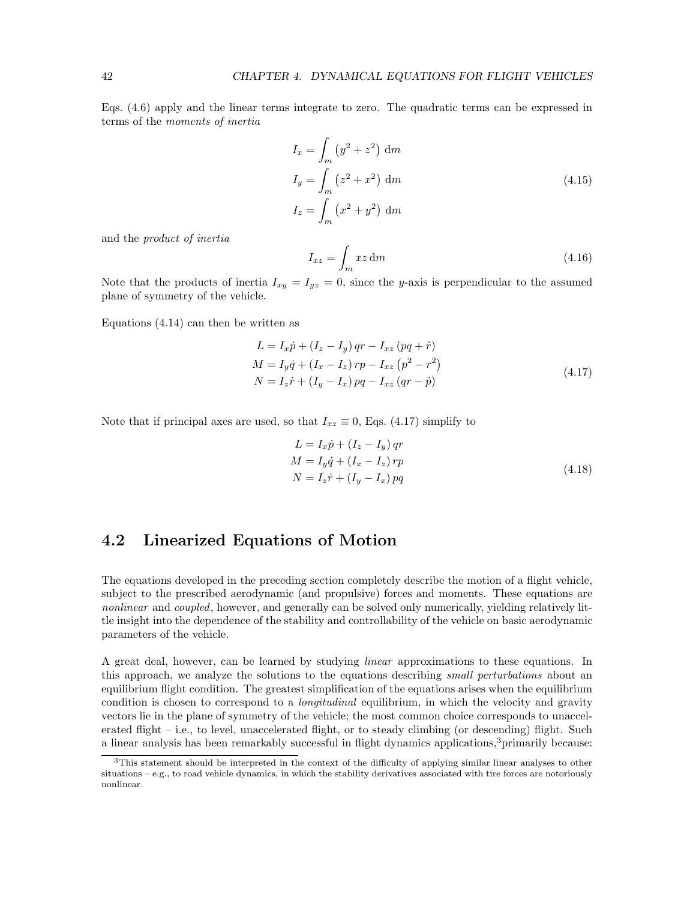Eqs. (4.6) apply and the linear terms integrate to zero. The quadratic terms can be expressed in terms of the moments of inertia

$$
I_x = \int_m (y^2 + z^2) dm
$$
  
\n
$$
I_y = \int_m (z^2 + x^2) dm
$$
  
\n
$$
I_z = \int_m (x^2 + y^2) dm
$$
\n(4.15)

and the product of inertia

$$
I_{xz} = \int_m xz \, dm \tag{4.16}
$$

Note that the products of inertia  $I_{xy} = I_{yz} = 0$ , since the y-axis is perpendicular to the assumed plane of symmetry of the vehicle.

Equations (4.14) can then be written as

$$
L = I_x \dot{p} + (I_z - I_y) qr - I_{xz} (pq + \dot{r})
$$
  
\n
$$
M = I_y \dot{q} + (I_x - I_z) rp - I_{xz} (p^2 - r^2)
$$
  
\n
$$
N = I_z \dot{r} + (I_y - I_x) pq - I_{xz} (qr - \dot{p})
$$
\n(4.17)

Note that if principal axes are used, so that  $I_{xz} \equiv 0$ , Eqs. (4.17) simplify to

$$
L = I_x \dot{p} + (I_z - I_y) \, qr
$$
  
\n
$$
M = I_y \dot{q} + (I_x - I_z) \, rp
$$
  
\n
$$
N = I_z \dot{r} + (I_y - I_x) \, pq
$$
\n(4.18)

## 4.2 Linearized Equations of Motion

The equations developed in the preceding section completely describe the motion of a flight vehicle, subject to the prescribed aerodynamic (and propulsive) forces and moments. These equations are nonlinear and coupled, however, and generally can be solved only numerically, yielding relatively little insight into the dependence of the stability and controllability of the vehicle on basic aerodynamic parameters of the vehicle.

A great deal, however, can be learned by studying linear approximations to these equations. In this approach, we analyze the solutions to the equations describing *small perturbations* about an equilibrium flight condition. The greatest simplification of the equations arises when the equilibrium condition is chosen to correspond to a *longitudinal* equilibrium, in which the velocity and gravity vectors lie in the plane of symmetry of the vehicle; the most common choice corresponds to unaccelerated flight – i.e., to level, unaccelerated flight, or to steady climbing (or descending) flight. Such a linear analysis has been remarkably successful in flight dynamics applications,<sup>3</sup>primarily because:

 $3$ This statement should be interpreted in the context of the difficulty of applying similar linear analyses to other situations – e.g., to road vehicle dynamics, in which the stability derivatives associated with tire forces are notoriously nonlinear.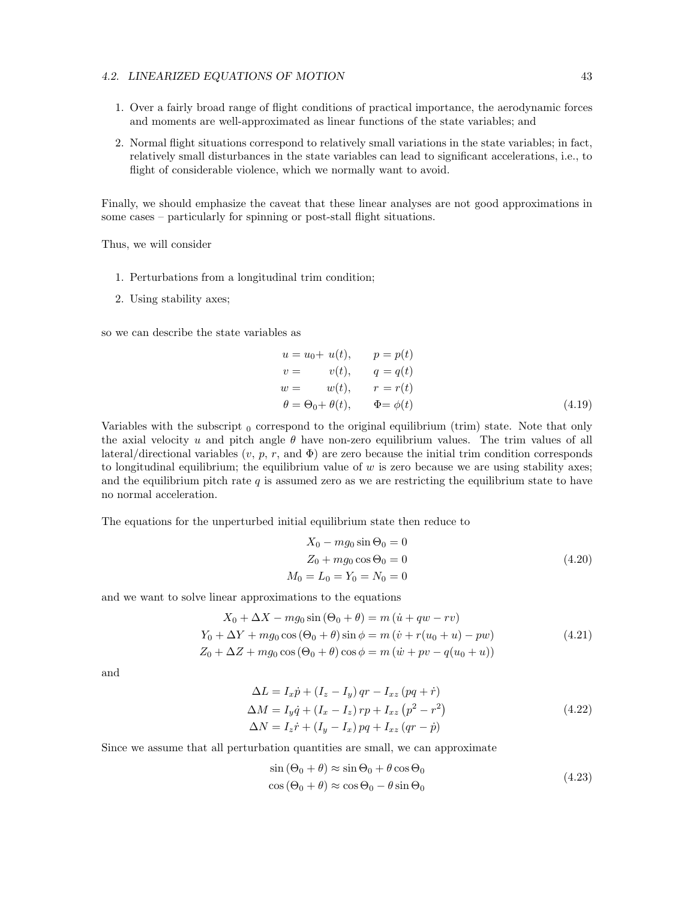#### 4.2. LINEARIZED EQUATIONS OF MOTION 43

- 1. Over a fairly broad range of flight conditions of practical importance, the aerodynamic forces and moments are well-approximated as linear functions of the state variables; and
- 2. Normal flight situations correspond to relatively small variations in the state variables; in fact, relatively small disturbances in the state variables can lead to significant accelerations, i.e., to flight of considerable violence, which we normally want to avoid.

Finally, we should emphasize the caveat that these linear analyses are not good approximations in some cases – particularly for spinning or post-stall flight situations.

Thus, we will consider

- 1. Perturbations from a longitudinal trim condition;
- 2. Using stability axes;

so we can describe the state variables as

$$
u = u_0 + u(t), \qquad p = p(t)
$$
  
\n
$$
v = v(t), \qquad q = q(t)
$$
  
\n
$$
w = w(t), \qquad r = r(t)
$$
  
\n
$$
\theta = \Theta_0 + \theta(t), \qquad \Phi = \phi(t)
$$
\n(4.19)

Variables with the subscript  $_0$  correspond to the original equilibrium (trim) state. Note that only the axial velocity u and pitch angle  $\theta$  have non-zero equilibrium values. The trim values of all lateral/directional variables  $(v, p, r, \text{ and } \Phi)$  are zero because the initial trim condition corresponds to longitudinal equilibrium; the equilibrium value of  $w$  is zero because we are using stability axes; and the equilibrium pitch rate  $q$  is assumed zero as we are restricting the equilibrium state to have no normal acceleration.

The equations for the unperturbed initial equilibrium state then reduce to

$$
X_0 - mg_0 \sin \Theta_0 = 0
$$
  
\n
$$
Z_0 + mg_0 \cos \Theta_0 = 0
$$
  
\n
$$
M_0 = L_0 = Y_0 = N_0 = 0
$$
\n(4.20)

and we want to solve linear approximations to the equations

$$
X_0 + \Delta X - mg_0 \sin (\Theta_0 + \theta) = m (\dot{u} + qw - rv)
$$
  
\n
$$
Y_0 + \Delta Y + mg_0 \cos (\Theta_0 + \theta) \sin \phi = m (\dot{v} + r(u_0 + u) - pw)
$$
  
\n
$$
Z_0 + \Delta Z + mg_0 \cos (\Theta_0 + \theta) \cos \phi = m (\dot{w} + pv - q(u_0 + u))
$$
\n(4.21)

and

$$
\Delta L = I_x \dot{p} + (I_z - I_y) \, qr - I_{xz} \left( pq + \dot{r} \right)
$$
  
\n
$$
\Delta M = I_y \dot{q} + (I_x - I_z) \, rp + I_{xz} \left( p^2 - r^2 \right)
$$
  
\n
$$
\Delta N = I_z \dot{r} + (I_y - I_x) \, pq + I_{xz} \left( qr - \dot{p} \right)
$$
\n(4.22)

Since we assume that all perturbation quantities are small, we can approximate

$$
\sin (\Theta_0 + \theta) \approx \sin \Theta_0 + \theta \cos \Theta_0
$$
  
\n
$$
\cos (\Theta_0 + \theta) \approx \cos \Theta_0 - \theta \sin \Theta_0
$$
\n(4.23)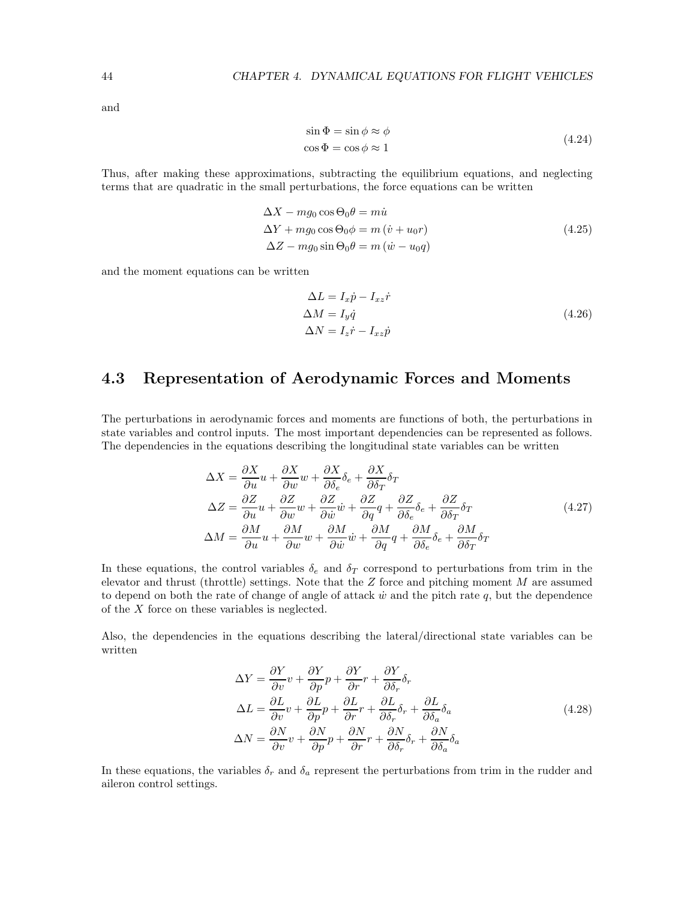and

$$
\sin \Phi = \sin \phi \approx \phi
$$
  
\n
$$
\cos \Phi = \cos \phi \approx 1
$$
\n(4.24)

Thus, after making these approximations, subtracting the equilibrium equations, and neglecting terms that are quadratic in the small perturbations, the force equations can be written

$$
\Delta X - mg_0 \cos \Theta_0 \theta = m\dot{u}
$$
  
\n
$$
\Delta Y + mg_0 \cos \Theta_0 \phi = m(\dot{v} + u_0 r)
$$
  
\n
$$
\Delta Z - mg_0 \sin \Theta_0 \theta = m(\dot{w} - u_0 q)
$$
\n(4.25)

and the moment equations can be written

$$
\Delta L = I_x \dot{p} - I_{xz} \dot{r}
$$
  
\n
$$
\Delta M = I_y \dot{q}
$$
  
\n
$$
\Delta N = I_z \dot{r} - I_{xz} \dot{p}
$$
\n(4.26)

## 4.3 Representation of Aerodynamic Forces and Moments

The perturbations in aerodynamic forces and moments are functions of both, the perturbations in state variables and control inputs. The most important dependencies can be represented as follows. The dependencies in the equations describing the longitudinal state variables can be written

$$
\Delta X = \frac{\partial X}{\partial u} u + \frac{\partial X}{\partial w} w + \frac{\partial X}{\partial \delta_e} \delta_e + \frac{\partial X}{\partial \delta_T} \delta_T
$$
  
\n
$$
\Delta Z = \frac{\partial Z}{\partial u} u + \frac{\partial Z}{\partial w} w + \frac{\partial Z}{\partial w} \dot{w} + \frac{\partial Z}{\partial q} q + \frac{\partial Z}{\partial \delta_e} \delta_e + \frac{\partial Z}{\partial \delta_T} \delta_T
$$
  
\n
$$
\Delta M = \frac{\partial M}{\partial u} u + \frac{\partial M}{\partial w} w + \frac{\partial M}{\partial \dot{w}} \dot{w} + \frac{\partial M}{\partial q} q + \frac{\partial M}{\partial \delta_e} \delta_e + \frac{\partial M}{\partial \delta_T} \delta_T
$$
\n(4.27)

In these equations, the control variables  $\delta_e$  and  $\delta_T$  correspond to perturbations from trim in the elevator and thrust (throttle) settings. Note that the  $Z$  force and pitching moment  $M$  are assumed to depend on both the rate of change of angle of attack  $\dot{w}$  and the pitch rate  $q$ , but the dependence of the X force on these variables is neglected.

Also, the dependencies in the equations describing the lateral/directional state variables can be written

$$
\Delta Y = \frac{\partial Y}{\partial v} v + \frac{\partial Y}{\partial p} p + \frac{\partial Y}{\partial r} r + \frac{\partial Y}{\partial \delta_r} \delta_r
$$
  
\n
$$
\Delta L = \frac{\partial L}{\partial v} v + \frac{\partial L}{\partial p} p + \frac{\partial L}{\partial r} r + \frac{\partial L}{\partial \delta_r} \delta_r + \frac{\partial L}{\partial \delta_a} \delta_a
$$
  
\n
$$
\Delta N = \frac{\partial N}{\partial v} v + \frac{\partial N}{\partial p} p + \frac{\partial N}{\partial r} r + \frac{\partial N}{\partial \delta_r} \delta_r + \frac{\partial N}{\partial \delta_a} \delta_a
$$
\n(4.28)

In these equations, the variables  $\delta_r$  and  $\delta_a$  represent the perturbations from trim in the rudder and aileron control settings.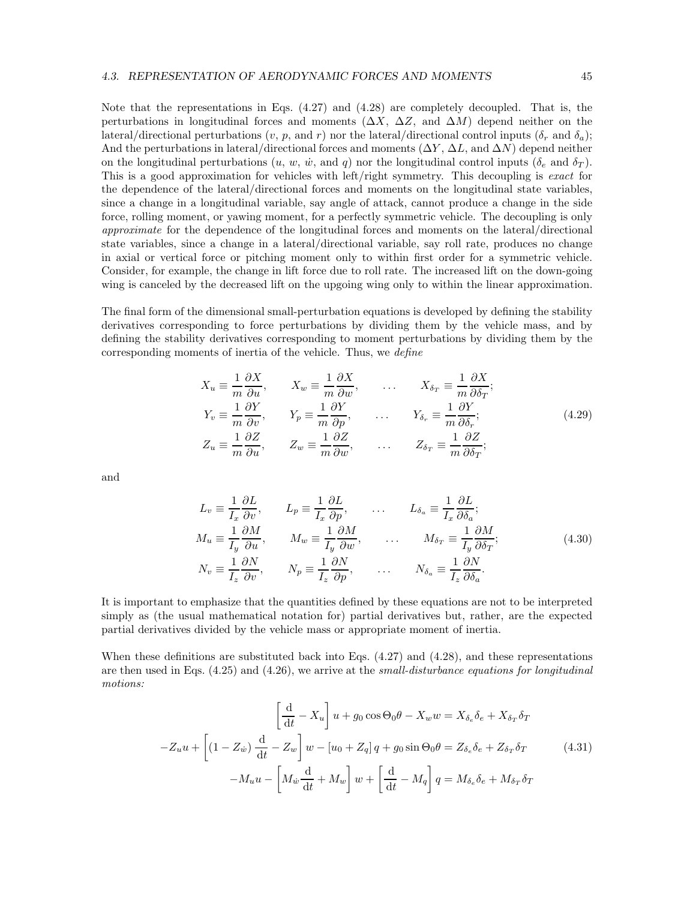Note that the representations in Eqs. (4.27) and (4.28) are completely decoupled. That is, the perturbations in longitudinal forces and moments  $(\Delta X, \Delta Z, \Delta M)$  depend neither on the lateral/directional perturbations  $(v, p, \text{ and } r)$  nor the lateral/directional control inputs  $(\delta_r \text{ and } \delta_a);$ And the perturbations in lateral/directional forces and moments  $(\Delta Y, \Delta L, \text{and } \Delta N)$  depend neither on the longitudinal perturbations  $(u, w, \dot{w}, \text{and } q)$  nor the longitudinal control inputs  $(\delta_e \text{ and } \delta_T)$ . This is a good approximation for vehicles with left/right symmetry. This decoupling is exact for the dependence of the lateral/directional forces and moments on the longitudinal state variables, since a change in a longitudinal variable, say angle of attack, cannot produce a change in the side force, rolling moment, or yawing moment, for a perfectly symmetric vehicle. The decoupling is only approximate for the dependence of the longitudinal forces and moments on the lateral/directional state variables, since a change in a lateral/directional variable, say roll rate, produces no change in axial or vertical force or pitching moment only to within first order for a symmetric vehicle. Consider, for example, the change in lift force due to roll rate. The increased lift on the down-going wing is canceled by the decreased lift on the upgoing wing only to within the linear approximation.

The final form of the dimensional small-perturbation equations is developed by defining the stability derivatives corresponding to force perturbations by dividing them by the vehicle mass, and by defining the stability derivatives corresponding to moment perturbations by dividing them by the corresponding moments of inertia of the vehicle. Thus, we define

$$
X_u \equiv \frac{1}{m} \frac{\partial X}{\partial u}, \qquad X_w \equiv \frac{1}{m} \frac{\partial X}{\partial w}, \qquad \dots \qquad X_{\delta_T} \equiv \frac{1}{m} \frac{\partial X}{\partial \delta_T};
$$
  
\n
$$
Y_v \equiv \frac{1}{m} \frac{\partial Y}{\partial v}, \qquad Y_p \equiv \frac{1}{m} \frac{\partial Y}{\partial p}, \qquad \dots \qquad Y_{\delta_r} \equiv \frac{1}{m} \frac{\partial Y}{\partial \delta_r};
$$
  
\n
$$
Z_u \equiv \frac{1}{m} \frac{\partial Z}{\partial u}, \qquad Z_w \equiv \frac{1}{m} \frac{\partial Z}{\partial w}, \qquad \dots \qquad Z_{\delta_T} \equiv \frac{1}{m} \frac{\partial Z}{\partial \delta_T};
$$
  
\n(4.29)

and

$$
L_v \equiv \frac{1}{I_x} \frac{\partial L}{\partial v}, \qquad L_p \equiv \frac{1}{I_x} \frac{\partial L}{\partial p}, \qquad \dots \qquad L_{\delta_a} \equiv \frac{1}{I_x} \frac{\partial L}{\partial \delta_a};
$$
  
\n
$$
M_u \equiv \frac{1}{I_y} \frac{\partial M}{\partial u}, \qquad M_w \equiv \frac{1}{I_y} \frac{\partial M}{\partial w}, \qquad \dots \qquad M_{\delta_T} \equiv \frac{1}{I_y} \frac{\partial M}{\partial \delta_T};
$$
  
\n
$$
N_v \equiv \frac{1}{I_z} \frac{\partial N}{\partial v}, \qquad N_p \equiv \frac{1}{I_z} \frac{\partial N}{\partial p}, \qquad \dots \qquad N_{\delta_a} \equiv \frac{1}{I_z} \frac{\partial N}{\partial \delta_a}.
$$
\n(4.30)

It is important to emphasize that the quantities defined by these equations are not to be interpreted simply as (the usual mathematical notation for) partial derivatives but, rather, are the expected partial derivatives divided by the vehicle mass or appropriate moment of inertia.

When these definitions are substituted back into Eqs. (4.27) and (4.28), and these representations are then used in Eqs.  $(4.25)$  and  $(4.26)$ , we arrive at the *small-disturbance equations for longitudinal* motions:

$$
\left[\frac{d}{dt} - X_u\right]u + g_0 \cos\Theta_0 \theta - X_w w = X_{\delta_e} \delta_e + X_{\delta_T} \delta_T
$$

$$
-Z_u u + \left[ (1 - Z_w) \frac{d}{dt} - Z_w \right] w - \left[ u_0 + Z_q \right] q + g_0 \sin\Theta_0 \theta = Z_{\delta_e} \delta_e + Z_{\delta_T} \delta_T \qquad (4.31)
$$

$$
-M_u u - \left[ M_w \frac{d}{dt} + M_w \right] w + \left[ \frac{d}{dt} - M_q \right] q = M_{\delta_e} \delta_e + M_{\delta_T} \delta_T
$$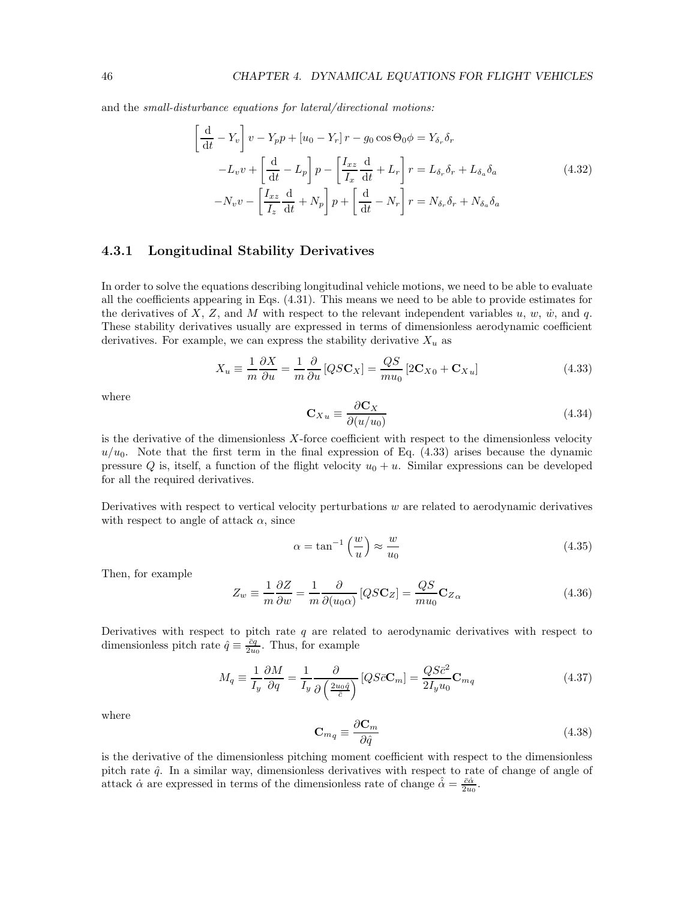and the small-disturbance equations for lateral/directional motions:

$$
\begin{aligned}\n\left[\frac{\mathrm{d}}{\mathrm{d}t} - Y_v\right] v - Y_p p + \left[u_0 - Y_r\right] r - g_0 \cos \Theta_0 \phi &= Y_{\delta_r} \delta_r \\
-L_v v + \left[\frac{\mathrm{d}}{\mathrm{d}t} - L_p\right] p - \left[\frac{I_{xz}}{I_x} \frac{\mathrm{d}}{\mathrm{d}t} + L_r\right] r &= L_{\delta_r} \delta_r + L_{\delta_a} \delta_a \\
-N_v v - \left[\frac{I_{xz}}{I_z} \frac{\mathrm{d}}{\mathrm{d}t} + N_p\right] p + \left[\frac{\mathrm{d}}{\mathrm{d}t} - N_r\right] r &= N_{\delta_r} \delta_r + N_{\delta_a} \delta_a\n\end{aligned}\n\tag{4.32}
$$

#### 4.3.1 Longitudinal Stability Derivatives

In order to solve the equations describing longitudinal vehicle motions, we need to be able to evaluate all the coefficients appearing in Eqs. (4.31). This means we need to be able to provide estimates for the derivatives of X, Z, and M with respect to the relevant independent variables u, w,  $\dot{w}$ , and q. These stability derivatives usually are expressed in terms of dimensionless aerodynamic coefficient derivatives. For example, we can express the stability derivative  $X_u$  as

$$
X_u \equiv \frac{1}{m} \frac{\partial X}{\partial u} = \frac{1}{m} \frac{\partial}{\partial u} \left[ Q S \mathbf{C}_X \right] = \frac{Q S}{m u_0} \left[ 2 \mathbf{C}_{X0} + \mathbf{C}_{Xu} \right] \tag{4.33}
$$

where

$$
\mathbf{C}_{Xu} \equiv \frac{\partial \mathbf{C}_{X}}{\partial (u/u_0)}\tag{4.34}
$$

is the derivative of the dimensionless  $X$ -force coefficient with respect to the dimensionless velocity  $u/u_0$ . Note that the first term in the final expression of Eq. (4.33) arises because the dynamic pressure Q is, itself, a function of the flight velocity  $u_0 + u$ . Similar expressions can be developed for all the required derivatives.

Derivatives with respect to vertical velocity perturbations  $w$  are related to aerodynamic derivatives with respect to angle of attack  $\alpha$ , since

$$
\alpha = \tan^{-1}\left(\frac{w}{u}\right) \approx \frac{w}{u_0} \tag{4.35}
$$

Then, for example

$$
Z_w \equiv \frac{1}{m} \frac{\partial Z}{\partial w} = \frac{1}{m} \frac{\partial}{\partial (u_0 \alpha)} \left[ QS \mathbf{C}_Z \right] = \frac{QS}{mu_0} \mathbf{C}_{Z\alpha}
$$
(4.36)

Derivatives with respect to pitch rate  $q$  are related to aerodynamic derivatives with respect to dimensionless pitch rate  $\hat{q} \equiv \frac{\bar{c}q}{2u_0}$ . Thus, for example

$$
M_q \equiv \frac{1}{I_y} \frac{\partial M}{\partial q} = \frac{1}{I_y} \frac{\partial}{\partial \left(\frac{2u_0 \hat{q}}{\bar{c}}\right)} \left[QS \bar{c} \mathbf{C}_m\right] = \frac{Q S \bar{c}^2}{2I_y u_0} \mathbf{C}_{mq}
$$
(4.37)

where

$$
\mathbf{C}_{mq} \equiv \frac{\partial \mathbf{C}_m}{\partial \hat{q}} \tag{4.38}
$$

is the derivative of the dimensionless pitching moment coefficient with respect to the dimensionless pitch rate  $\hat{q}$ . In a similar way, dimensionless derivatives with respect to rate of change of angle of attack  $\dot{\alpha}$  are expressed in terms of the dimensionless rate of change  $\hat{\dot{\alpha}} = \frac{\bar{c}\dot{\alpha}}{2u_0}$ .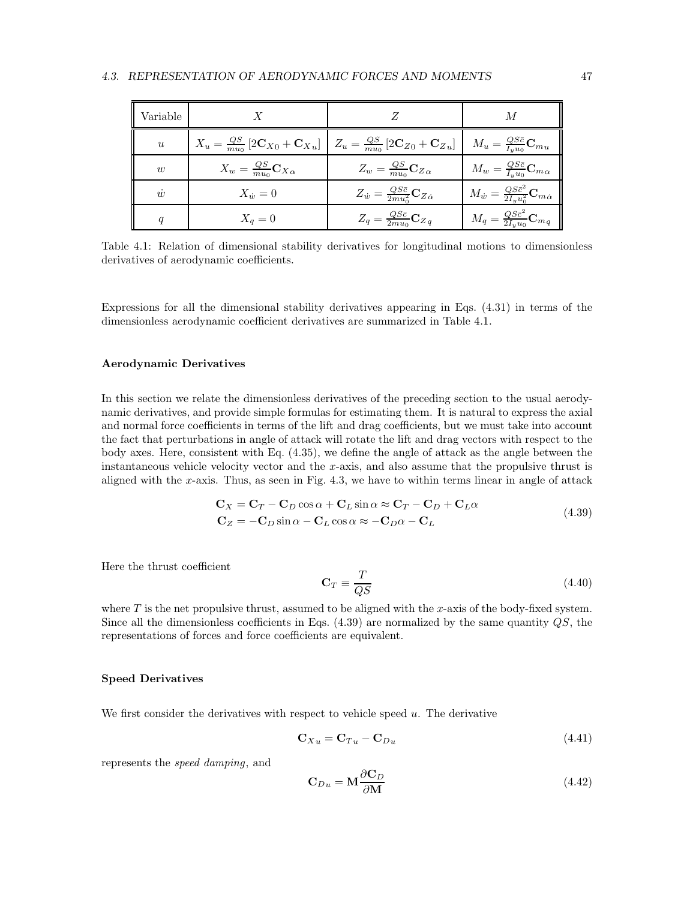| Variable         |                                                                                                                                                              |                                                                           |                                                                               |
|------------------|--------------------------------------------------------------------------------------------------------------------------------------------------------------|---------------------------------------------------------------------------|-------------------------------------------------------------------------------|
| u                | $X_u = \frac{QS}{m u_0} \left[ 2\mathbf{C}_{X0} + \mathbf{C}_{Xu} \right] \middle  Z_u = \frac{QS}{m u_0} \left[ 2\mathbf{C}_{Z0} + \mathbf{C}_{Zu} \right]$ |                                                                           | $M_u = \frac{Q S \bar{c}}{I_u u_0} \mathbf{C}_{m u}$                          |
| w                | $X_w = \frac{QS}{m u_0} \mathbf{C}_{X\alpha}$                                                                                                                | $Z_w = \frac{QS}{m u_0} \mathbf{C}_{Z\alpha}$                             | $M_w = \frac{QS\bar{c}}{I_u u_0} \mathbf{C}_{m\alpha}$                        |
| $\dot{w}$        | $X_{ii} = 0$                                                                                                                                                 | $Z_{\dot{w}} = \frac{Q S \bar{c}}{2 m u_0^2} \mathbf{C}_{Z \dot{\alpha}}$ | $M_{\dot{w}} = \frac{Q S \bar{c}^2}{2 I_u u_0^2} \mathbf{C}_{m \dot{\alpha}}$ |
| $\boldsymbol{q}$ | $X_q=0$                                                                                                                                                      | $Z_q = \frac{Q S \bar{c}}{2 m u_0} \mathbf{C}_{Zq}$                       | $M_q = \frac{QS\bar{c}^2}{2I_yu_0} \mathbf{C}_{mq}$                           |

Table 4.1: Relation of dimensional stability derivatives for longitudinal motions to dimensionless derivatives of aerodynamic coefficients.

Expressions for all the dimensional stability derivatives appearing in Eqs. (4.31) in terms of the dimensionless aerodynamic coefficient derivatives are summarized in Table 4.1.

#### Aerodynamic Derivatives

In this section we relate the dimensionless derivatives of the preceding section to the usual aerodynamic derivatives, and provide simple formulas for estimating them. It is natural to express the axial and normal force coefficients in terms of the lift and drag coefficients, but we must take into account the fact that perturbations in angle of attack will rotate the lift and drag vectors with respect to the body axes. Here, consistent with Eq. (4.35), we define the angle of attack as the angle between the instantaneous vehicle velocity vector and the  $x$ -axis, and also assume that the propulsive thrust is aligned with the  $x$ -axis. Thus, as seen in Fig. 4.3, we have to within terms linear in angle of attack

$$
\mathbf{C}_X = \mathbf{C}_T - \mathbf{C}_D \cos \alpha + \mathbf{C}_L \sin \alpha \approx \mathbf{C}_T - \mathbf{C}_D + \mathbf{C}_L \alpha
$$
  
\n
$$
\mathbf{C}_Z = -\mathbf{C}_D \sin \alpha - \mathbf{C}_L \cos \alpha \approx -\mathbf{C}_D \alpha - \mathbf{C}_L
$$
\n(4.39)

Here the thrust coefficient

$$
\mathbf{C}_T \equiv \frac{T}{QS} \tag{4.40}
$$

where  $T$  is the net propulsive thrust, assumed to be aligned with the x-axis of the body-fixed system. Since all the dimensionless coefficients in Eqs.  $(4.39)$  are normalized by the same quantity  $QS$ , the representations of forces and force coefficients are equivalent.

#### Speed Derivatives

We first consider the derivatives with respect to vehicle speed  $u$ . The derivative

$$
\mathbf{C}_{Xu} = \mathbf{C}_{Tu} - \mathbf{C}_{Du} \tag{4.41}
$$

represents the speed damping, and

$$
\mathbf{C}_{Du} = \mathbf{M} \frac{\partial \mathbf{C}_D}{\partial \mathbf{M}} \tag{4.42}
$$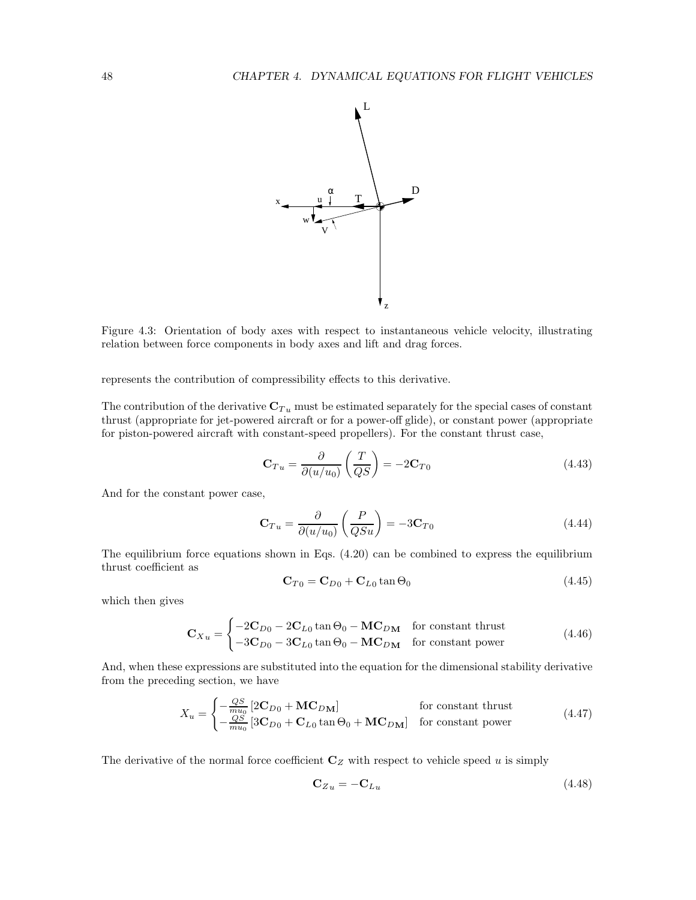

Figure 4.3: Orientation of body axes with respect to instantaneous vehicle velocity, illustrating relation between force components in body axes and lift and drag forces.

represents the contribution of compressibility effects to this derivative.

The contribution of the derivative  $\mathbf{C}_{T_u}$  must be estimated separately for the special cases of constant thrust (appropriate for jet-powered aircraft or for a power-off glide), or constant power (appropriate for piston-powered aircraft with constant-speed propellers). For the constant thrust case,

$$
\mathbf{C}_{Tu} = \frac{\partial}{\partial (u/u_0)} \left( \frac{T}{QS} \right) = -2\mathbf{C}_{T0}
$$
\n(4.43)

And for the constant power case,

$$
\mathbf{C}_{Tu} = \frac{\partial}{\partial (u/u_0)} \left( \frac{P}{QSu} \right) = -3\mathbf{C}_{T0}
$$
\n(4.44)

The equilibrium force equations shown in Eqs. (4.20) can be combined to express the equilibrium thrust coefficient as

$$
\mathbf{C}_{T0} = \mathbf{C}_{D0} + \mathbf{C}_{L0} \tan \Theta_0 \tag{4.45}
$$

which then gives

$$
\mathbf{C}_{Xu} = \begin{cases}\n-2\mathbf{C}_{D0} - 2\mathbf{C}_{L0} \tan \Theta_0 - \mathbf{M} \mathbf{C}_{D\mathbf{M}} & \text{for constant thrust} \\
-3\mathbf{C}_{D0} - 3\mathbf{C}_{L0} \tan \Theta_0 - \mathbf{M} \mathbf{C}_{D\mathbf{M}} & \text{for constant power}\n\end{cases}
$$
\n(4.46)

And, when these expressions are substituted into the equation for the dimensional stability derivative from the preceding section, we have

$$
X_u = \begin{cases} -\frac{QS}{mu_0} \left[ 2\mathbf{C}_{D0} + \mathbf{M}\mathbf{C}_{D\mathbf{M}} \right] & \text{for constant thrust} \\ -\frac{QS}{mu_0} \left[ 3\mathbf{C}_{D0} + \mathbf{C}_{L0} \tan \Theta_0 + \mathbf{M}\mathbf{C}_{D\mathbf{M}} \right] & \text{for constant power} \end{cases}
$$
(4.47)

The derivative of the normal force coefficient  $\mathbb{C}_Z$  with respect to vehicle speed u is simply

$$
\mathbf{C}_{Zu} = -\mathbf{C}_{Lu} \tag{4.48}
$$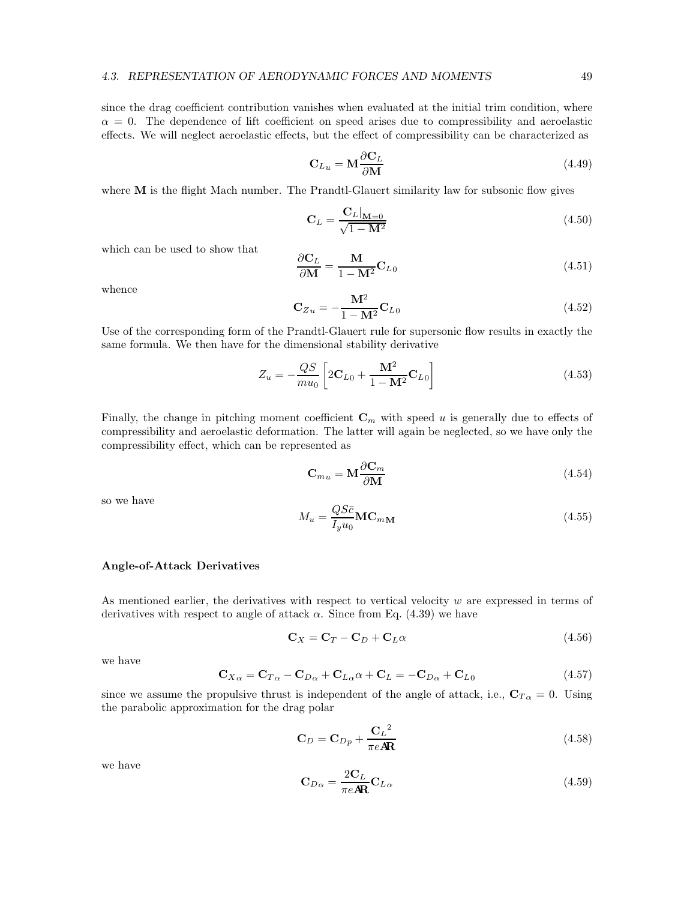since the drag coefficient contribution vanishes when evaluated at the initial trim condition, where  $\alpha = 0$ . The dependence of lift coefficient on speed arises due to compressibility and aeroelastic effects. We will neglect aeroelastic effects, but the effect of compressibility can be characterized as

$$
\mathbf{C}_{Lu} = \mathbf{M} \frac{\partial \mathbf{C}_{L}}{\partial \mathbf{M}} \tag{4.49}
$$

where  $M$  is the flight Mach number. The Prandtl-Glauert similarity law for subsonic flow gives

$$
\mathbf{C}_L = \frac{\mathbf{C}_L|_{\mathbf{M}=0}}{\sqrt{1 - \mathbf{M}^2}}\tag{4.50}
$$

which can be used to show that

$$
\frac{\partial \mathbf{C}_L}{\partial \mathbf{M}} = \frac{\mathbf{M}}{1 - \mathbf{M}^2} \mathbf{C}_{L0}
$$
(4.51)

whence

$$
\mathbf{C}_{Zu} = -\frac{\mathbf{M}^2}{1 - \mathbf{M}^2} \mathbf{C}_{L0}
$$
\n(4.52)

Use of the corresponding form of the Prandtl-Glauert rule for supersonic flow results in exactly the same formula. We then have for the dimensional stability derivative

$$
Z_u = -\frac{QS}{mu_0} \left[ 2\mathbf{C}_{L0} + \frac{\mathbf{M}^2}{1 - \mathbf{M}^2} \mathbf{C}_{L0} \right]
$$
 (4.53)

Finally, the change in pitching moment coefficient  $\mathbf{C}_m$  with speed u is generally due to effects of compressibility and aeroelastic deformation. The latter will again be neglected, so we have only the compressibility effect, which can be represented as

$$
\mathbf{C}_{m} = \mathbf{M} \frac{\partial \mathbf{C}_{m}}{\partial \mathbf{M}} \tag{4.54}
$$

so we have

$$
M_u = \frac{QSE}{I_y u_0} \mathbf{MC}_{m\mathbf{M}}
$$
\n(4.55)

#### Angle-of-Attack Derivatives

As mentioned earlier, the derivatives with respect to vertical velocity  $w$  are expressed in terms of derivatives with respect to angle of attack  $\alpha$ . Since from Eq. (4.39) we have

$$
\mathbf{C}_X = \mathbf{C}_T - \mathbf{C}_D + \mathbf{C}_L \alpha \tag{4.56}
$$

we have

$$
\mathbf{C}_{X\alpha} = \mathbf{C}_{T\alpha} - \mathbf{C}_{D\alpha} + \mathbf{C}_{L\alpha}\alpha + \mathbf{C}_{L} = -\mathbf{C}_{D\alpha} + \mathbf{C}_{L0}
$$
(4.57)

since we assume the propulsive thrust is independent of the angle of attack, i.e.,  $\mathbf{C}_{T\alpha} = 0$ . Using the parabolic approximation for the drag polar

$$
\mathbf{C}_D = \mathbf{C}_{D_p} + \frac{\mathbf{C}_L^2}{\pi e \mathbf{A} \mathbf{R}}
$$
(4.58)

we have

$$
\mathbf{C}_{D\alpha} = \frac{2\mathbf{C}_L}{\pi e \mathbf{A} \mathbf{R}} \mathbf{C}_{L\alpha} \tag{4.59}
$$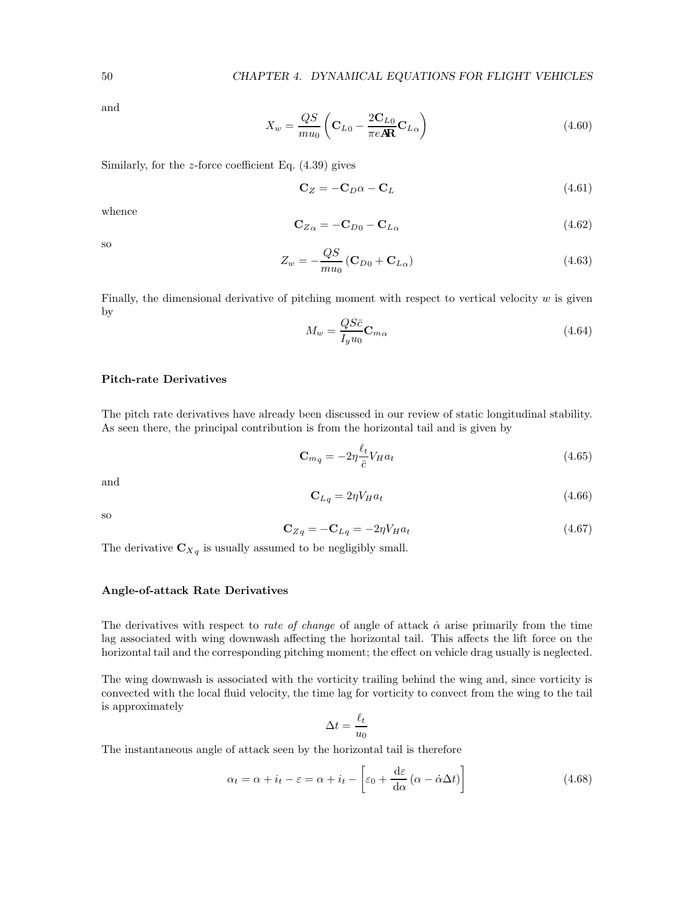and

$$
X_w = \frac{QS}{m u_0} \left( \mathbf{C}_{L0} - \frac{2 \mathbf{C}_{L0}}{\pi e \mathbf{A} \mathbf{R}} \mathbf{C}_{L\alpha} \right)
$$
(4.60)

Similarly, for the  $z$ -force coefficient Eq.  $(4.39)$  gives

$$
\mathbf{C}_Z = -\mathbf{C}_D \alpha - \mathbf{C}_L \tag{4.61}
$$

whence

$$
\mathbf{C}_{Z_{\alpha}} = -\mathbf{C}_{D0} - \mathbf{C}_{L_{\alpha}} \tag{4.62}
$$

so

$$
Z_w = -\frac{QS}{mu_0} \left( \mathbf{C}_{D0} + \mathbf{C}_{L\alpha} \right) \tag{4.63}
$$

Finally, the dimensional derivative of pitching moment with respect to vertical velocity  $w$  is given by

$$
M_w = \frac{QS\bar{c}}{I_y u_0} \mathbf{C}_{m\alpha} \tag{4.64}
$$

#### Pitch-rate Derivatives

The pitch rate derivatives have already been discussed in our review of static longitudinal stability. As seen there, the principal contribution is from the horizontal tail and is given by

$$
\mathbf{C}_{mq} = -2\eta \frac{\ell_t}{\bar{c}} V_H a_t \tag{4.65}
$$

and

$$
\mathbf{C}_{Lq} = 2\eta V_H a_t \tag{4.66}
$$

so

$$
\mathbf{C}_{Zq} = -\mathbf{C}_{Lq} = -2\eta V_H a_t \tag{4.67}
$$

The derivative  $\mathbf{C}_{X_q}$  is usually assumed to be negligibly small.

#### Angle-of-attack Rate Derivatives

The derivatives with respect to *rate of change* of angle of attack  $\dot{\alpha}$  arise primarily from the time lag associated with wing downwash affecting the horizontal tail. This affects the lift force on the horizontal tail and the corresponding pitching moment; the effect on vehicle drag usually is neglected.

The wing downwash is associated with the vorticity trailing behind the wing and, since vorticity is convected with the local fluid velocity, the time lag for vorticity to convect from the wing to the tail is approximately

$$
\Delta t = \frac{\ell_t}{u_0}
$$

The instantaneous angle of attack seen by the horizontal tail is therefore

$$
\alpha_t = \alpha + i_t - \varepsilon = \alpha + i_t - \left[\varepsilon_0 + \frac{\mathrm{d}\varepsilon}{\mathrm{d}\alpha} \left(\alpha - \dot{\alpha}\Delta t\right)\right] \tag{4.68}
$$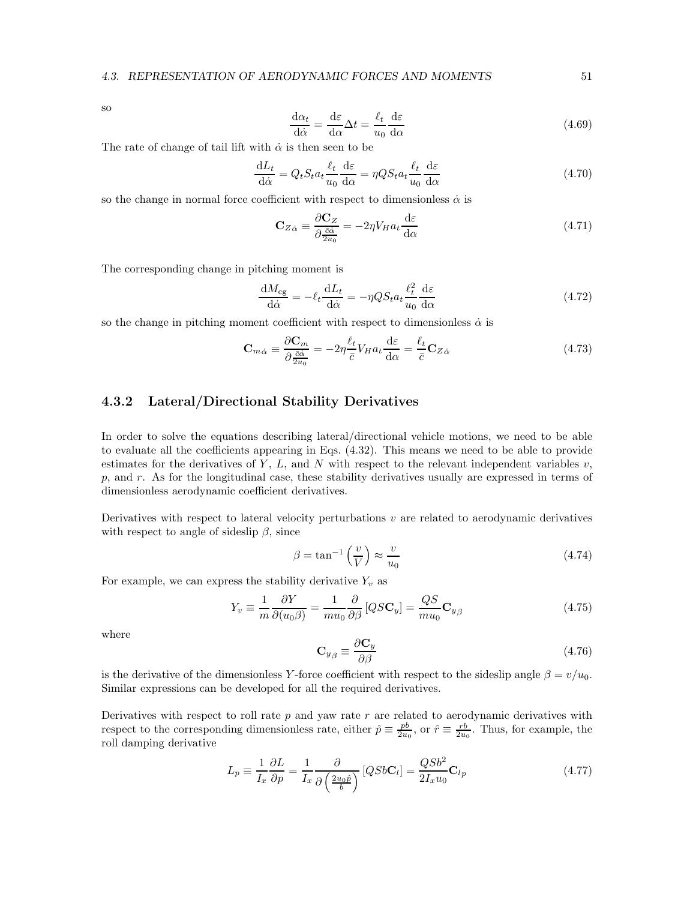so

$$
\frac{d\alpha_t}{d\dot{\alpha}} = \frac{d\varepsilon}{d\alpha} \Delta t = \frac{\ell_t}{u_0} \frac{d\varepsilon}{d\alpha}
$$
\n(4.69)

The rate of change of tail lift with  $\dot{\alpha}$  is then seen to be

$$
\frac{\mathrm{d}L_t}{\mathrm{d}\dot{\alpha}} = Q_t S_t a_t \frac{\ell_t}{u_0} \frac{\mathrm{d}\varepsilon}{\mathrm{d}\alpha} = \eta Q S_t a_t \frac{\ell_t}{u_0} \frac{\mathrm{d}\varepsilon}{\mathrm{d}\alpha} \tag{4.70}
$$

so the change in normal force coefficient with respect to dimensionless  $\dot{\alpha}$  is

$$
\mathbf{C}_{Z\dot{\alpha}} \equiv \frac{\partial \mathbf{C}_Z}{\partial \frac{\bar{c}\dot{\alpha}}{2u_0}} = -2\eta V_H a_t \frac{\mathrm{d}\varepsilon}{\mathrm{d}\alpha} \tag{4.71}
$$

The corresponding change in pitching moment is

$$
\frac{\mathrm{d}M_{\mathrm{cg}}}{\mathrm{d}\dot{\alpha}} = -\ell_t \frac{\mathrm{d}L_t}{\mathrm{d}\dot{\alpha}} = -\eta Q S_t a_t \frac{\ell_t^2}{u_0} \frac{\mathrm{d}\varepsilon}{\mathrm{d}\alpha} \tag{4.72}
$$

so the change in pitching moment coefficient with respect to dimensionless  $\dot{\alpha}$  is

$$
\mathbf{C}_{m\dot{\alpha}} \equiv \frac{\partial \mathbf{C}_{m}}{\partial \frac{\bar{c}\dot{\alpha}}{2u_{0}}} = -2\eta \frac{\ell_{t}}{\bar{c}} V_{H} a_{t} \frac{\mathrm{d}\varepsilon}{\mathrm{d}\alpha} = \frac{\ell_{t}}{\bar{c}} \mathbf{C}_{Z\dot{\alpha}}
$$
(4.73)

#### 4.3.2 Lateral/Directional Stability Derivatives

In order to solve the equations describing lateral/directional vehicle motions, we need to be able to evaluate all the coefficients appearing in Eqs. (4.32). This means we need to be able to provide estimates for the derivatives of Y, L, and N with respect to the relevant independent variables  $v$ ,  $p$ , and  $r$ . As for the longitudinal case, these stability derivatives usually are expressed in terms of dimensionless aerodynamic coefficient derivatives.

Derivatives with respect to lateral velocity perturbations  $v$  are related to aerodynamic derivatives with respect to angle of sideslip  $\beta$ , since

$$
\beta = \tan^{-1}\left(\frac{v}{V}\right) \approx \frac{v}{u_0} \tag{4.74}
$$

For example, we can express the stability derivative  $Y_v$  as

$$
Y_v \equiv \frac{1}{m} \frac{\partial Y}{\partial (u_0 \beta)} = \frac{1}{m u_0} \frac{\partial}{\partial \beta} [Q S \mathbf{C}_y] = \frac{Q S}{m u_0} \mathbf{C}_{y \beta} \tag{4.75}
$$

where

$$
\mathbf{C}_{y\beta} \equiv \frac{\partial \mathbf{C}_y}{\partial \beta} \tag{4.76}
$$

is the derivative of the dimensionless Y-force coefficient with respect to the sideslip angle  $\beta = v/u_0$ . Similar expressions can be developed for all the required derivatives.

Derivatives with respect to roll rate  $p$  and yaw rate  $r$  are related to aerodynamic derivatives with respect to the corresponding dimensionless rate, either  $\hat{p} \equiv \frac{pb}{2u_0}$ , or  $\hat{r} \equiv \frac{rb}{2u_0}$ . Thus, for example, the roll damping derivative

$$
L_p \equiv \frac{1}{I_x} \frac{\partial L}{\partial p} = \frac{1}{I_x} \frac{\partial}{\partial \left(\frac{2u_0 \hat{p}}{b}\right)} \left[ Q S b \mathbf{C}_l \right] = \frac{Q S b^2}{2 I_x u_0} \mathbf{C}_{lp} \tag{4.77}
$$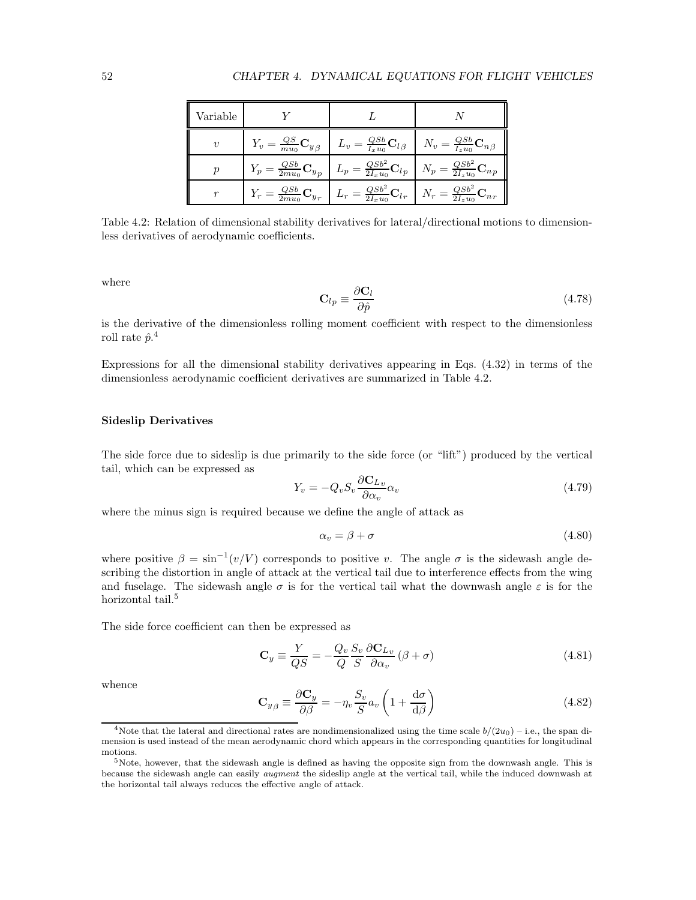| Variable            |                                               |                                                                                                                                                                 |  |
|---------------------|-----------------------------------------------|-----------------------------------------------------------------------------------------------------------------------------------------------------------------|--|
| $\boldsymbol{\eta}$ | $Y_v = \frac{QS}{m u_0} \mathbf{C}_{y_\beta}$ | $\left  L_v = \frac{Q S b}{I_x u_0} \mathbf{C}_{l\beta} \right  N_v = \frac{Q S b}{I_z u_0} \mathbf{C}_{n\beta}$                                                |  |
|                     |                                               | $Y_p = \frac{Q S b}{2 m u_0} \mathbf{C}_{y_p} \left  L_p = \frac{Q S b^2}{2 I_x u_0} \mathbf{C}_{l_p} \right  N_p = \frac{Q S b^2}{2 I_z u_0} \mathbf{C}_{n_p}$ |  |
|                     |                                               | $Y_r = \frac{Q S b}{2 m u_0} \mathbf{C}_{y_r} \left  L_r = \frac{Q S b^2}{2 I_x u_0} \mathbf{C}_{l_r} \right  N_r = \frac{Q S b^2}{2 I_z u_0} \mathbf{C}_{n_r}$ |  |

Table 4.2: Relation of dimensional stability derivatives for lateral/directional motions to dimensionless derivatives of aerodynamic coefficients.

where

$$
\mathbf{C}_{lp} \equiv \frac{\partial \mathbf{C}_l}{\partial \hat{p}} \tag{4.78}
$$

is the derivative of the dimensionless rolling moment coefficient with respect to the dimensionless roll rate  $\hat{p}.^4$ 

Expressions for all the dimensional stability derivatives appearing in Eqs. (4.32) in terms of the dimensionless aerodynamic coefficient derivatives are summarized in Table 4.2.

#### Sideslip Derivatives

The side force due to sideslip is due primarily to the side force (or "lift") produced by the vertical tail, which can be expressed as

$$
Y_v = -Q_v S_v \frac{\partial \mathbf{C}_{Lv}}{\partial \alpha_v} \alpha_v \tag{4.79}
$$

where the minus sign is required because we define the angle of attack as

$$
\alpha_v = \beta + \sigma \tag{4.80}
$$

where positive  $\beta = \sin^{-1}(v/V)$  corresponds to positive v. The angle  $\sigma$  is the sidewash angle describing the distortion in angle of attack at the vertical tail due to interference effects from the wing and fuselage. The sidewash angle  $\sigma$  is for the vertical tail what the downwash angle  $\varepsilon$  is for the horizontal tail. $\rm^5$ 

The side force coefficient can then be expressed as

$$
\mathbf{C}_y \equiv \frac{Y}{QS} = -\frac{Q_v}{Q} \frac{S_v}{S} \frac{\partial \mathbf{C}_{Lv}}{\partial \alpha_v} (\beta + \sigma) \tag{4.81}
$$

whence

$$
\mathbf{C}_{y\beta} \equiv \frac{\partial \mathbf{C}_y}{\partial \beta} = -\eta_v \frac{S_v}{S} a_v \left( 1 + \frac{\mathrm{d}\sigma}{\mathrm{d}\beta} \right) \tag{4.82}
$$

<sup>&</sup>lt;sup>4</sup>Note that the lateral and directional rates are nondimensionalized using the time scale  $b/(2u_0)$  – i.e., the span dimension is used instead of the mean aerodynamic chord which appears in the corresponding quantities for longitudinal motions.

 $5$ Note, however, that the sidewash angle is defined as having the opposite sign from the downwash angle. This is because the sidewash angle can easily augment the sideslip angle at the vertical tail, while the induced downwash at the horizontal tail always reduces the effective angle of attack.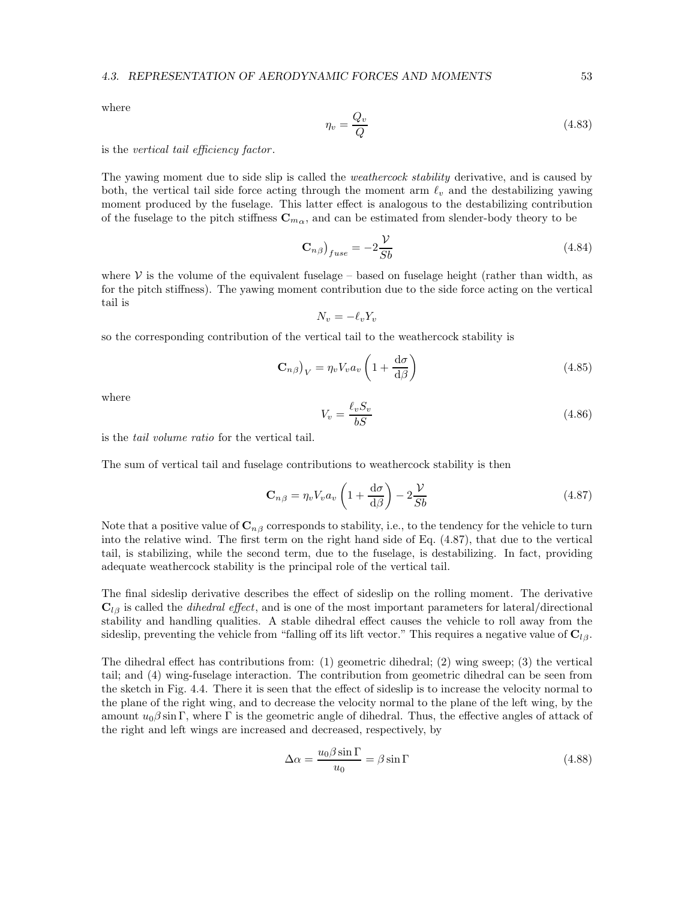where

$$
\eta_v = \frac{Q_v}{Q} \tag{4.83}
$$

#### is the vertical tail efficiency factor .

The yawing moment due to side slip is called the *weathercock stability* derivative, and is caused by both, the vertical tail side force acting through the moment arm  $\ell_v$  and the destabilizing yawing moment produced by the fuselage. This latter effect is analogous to the destabilizing contribution of the fuselage to the pitch stiffness  $\mathbf{C}_{m\alpha}$ , and can be estimated from slender-body theory to be

$$
\mathbf{C}_{n\beta}\big)_{fuse} = -2\frac{\mathcal{V}}{Sb} \tag{4.84}
$$

where  $\mathcal V$  is the volume of the equivalent fuselage – based on fuselage height (rather than width, as for the pitch stiffness). The yawing moment contribution due to the side force acting on the vertical tail is

$$
N_v = -\ell_v Y_v
$$

so the corresponding contribution of the vertical tail to the weathercock stability is

$$
\mathbf{C}_{n\beta}\big)_V = \eta_v V_v a_v \left(1 + \frac{\mathrm{d}\sigma}{\mathrm{d}\beta}\right) \tag{4.85}
$$

where

$$
V_v = \frac{\ell_v S_v}{bS} \tag{4.86}
$$

is the tail volume ratio for the vertical tail.

The sum of vertical tail and fuselage contributions to weathercock stability is then

$$
\mathbf{C}_{n\beta} = \eta_v V_v a_v \left( 1 + \frac{\mathrm{d}\sigma}{\mathrm{d}\beta} \right) - 2 \frac{\mathcal{V}}{Sb} \tag{4.87}
$$

Note that a positive value of  $C_{n\beta}$  corresponds to stability, i.e., to the tendency for the vehicle to turn into the relative wind. The first term on the right hand side of Eq. (4.87), that due to the vertical tail, is stabilizing, while the second term, due to the fuselage, is destabilizing. In fact, providing adequate weathercock stability is the principal role of the vertical tail.

The final sideslip derivative describes the effect of sideslip on the rolling moment. The derivative  $C_{l}$  is called the *dihedral effect*, and is one of the most important parameters for lateral/directional stability and handling qualities. A stable dihedral effect causes the vehicle to roll away from the sideslip, preventing the vehicle from "falling off its lift vector." This requires a negative value of  $C_{l\beta}$ .

The dihedral effect has contributions from: (1) geometric dihedral; (2) wing sweep; (3) the vertical tail; and (4) wing-fuselage interaction. The contribution from geometric dihedral can be seen from the sketch in Fig. 4.4. There it is seen that the effect of sideslip is to increase the velocity normal to the plane of the right wing, and to decrease the velocity normal to the plane of the left wing, by the amount  $u_0\beta \sin \Gamma$ , where  $\Gamma$  is the geometric angle of dihedral. Thus, the effective angles of attack of the right and left wings are increased and decreased, respectively, by

$$
\Delta \alpha = \frac{u_0 \beta \sin \Gamma}{u_0} = \beta \sin \Gamma \tag{4.88}
$$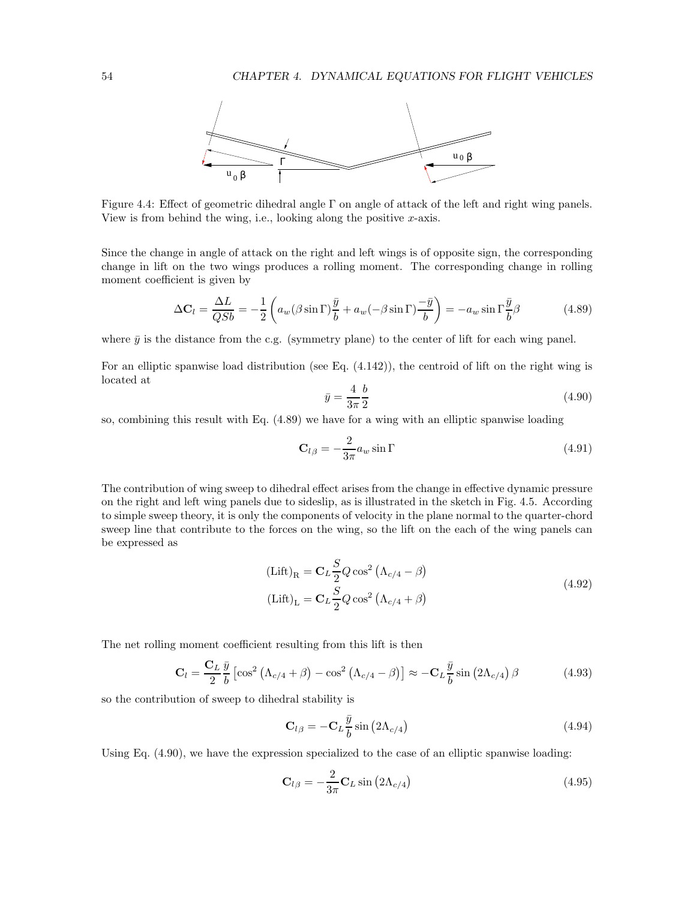

Figure 4.4: Effect of geometric dihedral angle Γ on angle of attack of the left and right wing panels. View is from behind the wing, i.e., looking along the positive  $x$ -axis.

Since the change in angle of attack on the right and left wings is of opposite sign, the corresponding change in lift on the two wings produces a rolling moment. The corresponding change in rolling moment coefficient is given by

$$
\Delta \mathbf{C}_l = \frac{\Delta L}{Q S b} = -\frac{1}{2} \left( a_w (\beta \sin \Gamma) \frac{\bar{y}}{b} + a_w (-\beta \sin \Gamma) \frac{-\bar{y}}{b} \right) = -a_w \sin \Gamma \frac{\bar{y}}{b} \beta \tag{4.89}
$$

where  $\bar{y}$  is the distance from the c.g. (symmetry plane) to the center of lift for each wing panel.

For an elliptic spanwise load distribution (see Eq. (4.142)), the centroid of lift on the right wing is located at

$$
\bar{y} = \frac{4}{3\pi} \frac{b}{2} \tag{4.90}
$$

so, combining this result with Eq. (4.89) we have for a wing with an elliptic spanwise loading

$$
\mathbf{C}_{l\beta} = -\frac{2}{3\pi} a_w \sin \Gamma \tag{4.91}
$$

The contribution of wing sweep to dihedral effect arises from the change in effective dynamic pressure on the right and left wing panels due to sideslip, as is illustrated in the sketch in Fig. 4.5. According to simple sweep theory, it is only the components of velocity in the plane normal to the quarter-chord sweep line that contribute to the forces on the wing, so the lift on the each of the wing panels can be expressed as

$$
\begin{aligned} \left(\text{Lift}\right)_{\text{R}} &= \mathbf{C}_{L} \frac{S}{2} Q \cos^{2} \left(\Lambda_{c/4} - \beta\right) \\ \left(\text{Lift}\right)_{\text{L}} &= \mathbf{C}_{L} \frac{S}{2} Q \cos^{2} \left(\Lambda_{c/4} + \beta\right) \end{aligned} \tag{4.92}
$$

The net rolling moment coefficient resulting from this lift is then

$$
\mathbf{C}_{l} = \frac{\mathbf{C}_{L}}{2} \frac{\bar{y}}{b} \left[ \cos^{2} \left( \Lambda_{c/4} + \beta \right) - \cos^{2} \left( \Lambda_{c/4} - \beta \right) \right] \approx -\mathbf{C}_{L} \frac{\bar{y}}{b} \sin \left( 2\Lambda_{c/4} \right) \beta \tag{4.93}
$$

so the contribution of sweep to dihedral stability is

$$
\mathbf{C}_{l\beta} = -\mathbf{C}_{L} \frac{\bar{y}}{b} \sin\left(2\Lambda_{c/4}\right) \tag{4.94}
$$

Using Eq. (4.90), we have the expression specialized to the case of an elliptic spanwise loading:

$$
\mathbf{C}_{l\beta} = -\frac{2}{3\pi} \mathbf{C}_{L} \sin\left(2\Lambda_{c/4}\right) \tag{4.95}
$$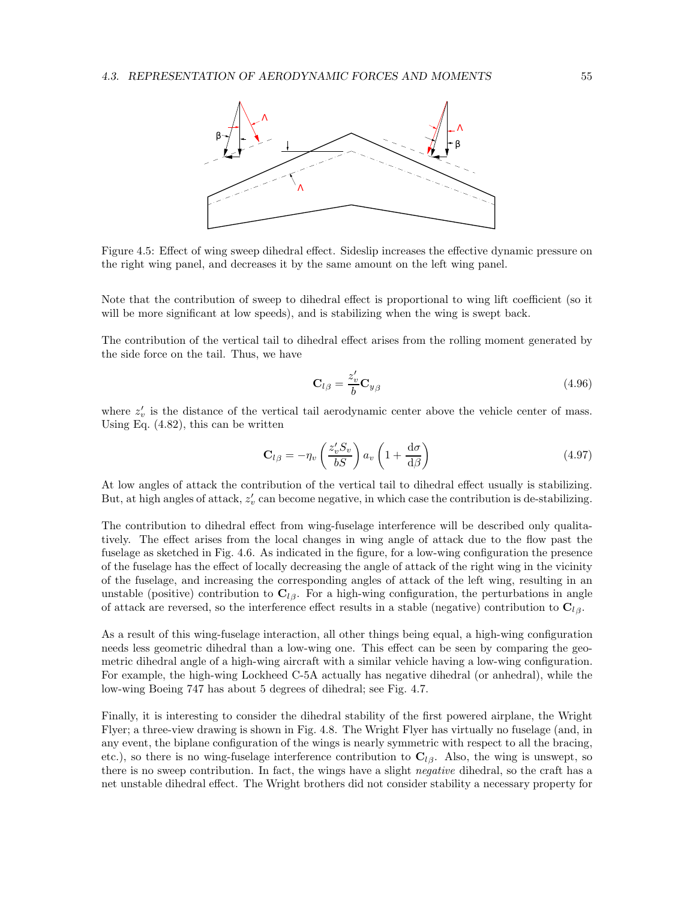

Figure 4.5: Effect of wing sweep dihedral effect. Sideslip increases the effective dynamic pressure on the right wing panel, and decreases it by the same amount on the left wing panel.

Note that the contribution of sweep to dihedral effect is proportional to wing lift coefficient (so it will be more significant at low speeds), and is stabilizing when the wing is swept back.

The contribution of the vertical tail to dihedral effect arises from the rolling moment generated by the side force on the tail. Thus, we have

$$
\mathbf{C}_{l\beta} = \frac{z_v'}{b} \mathbf{C}_{y_{\beta}}
$$
\n(4.96)

where  $z'_{v}$  is the distance of the vertical tail aerodynamic center above the vehicle center of mass. Using Eq. (4.82), this can be written

$$
\mathbf{C}_{l\beta} = -\eta_v \left(\frac{z_v' S_v}{bS}\right) a_v \left(1 + \frac{d\sigma}{d\beta}\right) \tag{4.97}
$$

At low angles of attack the contribution of the vertical tail to dihedral effect usually is stabilizing. But, at high angles of attack,  $z'_v$  can become negative, in which case the contribution is de-stabilizing.

The contribution to dihedral effect from wing-fuselage interference will be described only qualitatively. The effect arises from the local changes in wing angle of attack due to the flow past the fuselage as sketched in Fig. 4.6. As indicated in the figure, for a low-wing configuration the presence of the fuselage has the effect of locally decreasing the angle of attack of the right wing in the vicinity of the fuselage, and increasing the corresponding angles of attack of the left wing, resulting in an unstable (positive) contribution to  $C_{l\beta}$ . For a high-wing configuration, the perturbations in angle of attack are reversed, so the interference effect results in a stable (negative) contribution to  $C_{l,\beta}$ .

As a result of this wing-fuselage interaction, all other things being equal, a high-wing configuration needs less geometric dihedral than a low-wing one. This effect can be seen by comparing the geometric dihedral angle of a high-wing aircraft with a similar vehicle having a low-wing configuration. For example, the high-wing Lockheed C-5A actually has negative dihedral (or anhedral), while the low-wing Boeing 747 has about 5 degrees of dihedral; see Fig. 4.7.

Finally, it is interesting to consider the dihedral stability of the first powered airplane, the Wright Flyer; a three-view drawing is shown in Fig. 4.8. The Wright Flyer has virtually no fuselage (and, in any event, the biplane configuration of the wings is nearly symmetric with respect to all the bracing, etc.), so there is no wing-fuselage interference contribution to  $C_{l\beta}$ . Also, the wing is unswept, so there is no sweep contribution. In fact, the wings have a slight *negative* dihedral, so the craft has a net unstable dihedral effect. The Wright brothers did not consider stability a necessary property for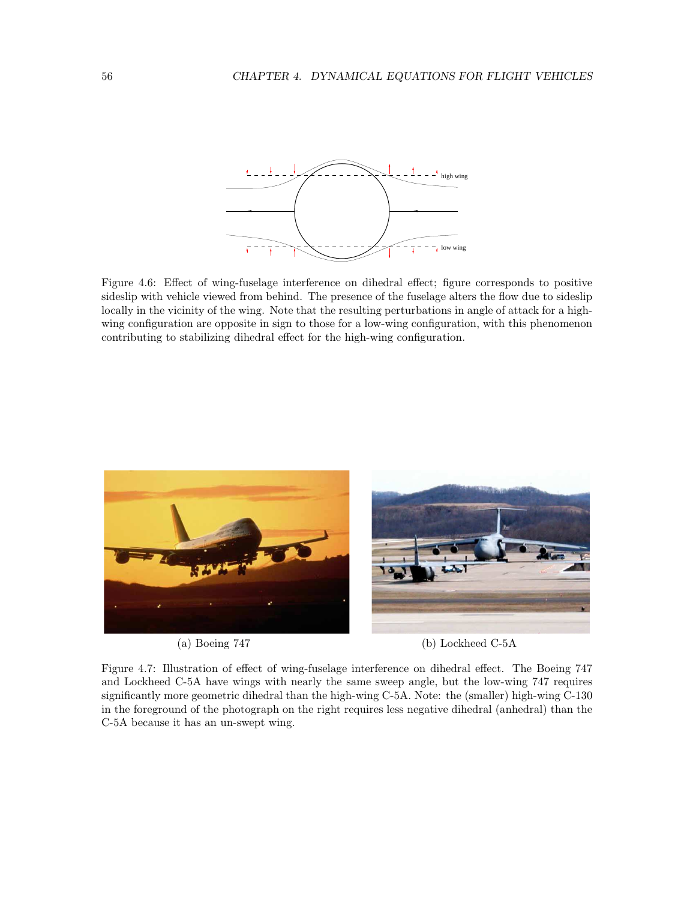

Figure 4.6: Effect of wing-fuselage interference on dihedral effect; figure corresponds to positive sideslip with vehicle viewed from behind. The presence of the fuselage alters the flow due to sideslip locally in the vicinity of the wing. Note that the resulting perturbations in angle of attack for a highwing configuration are opposite in sign to those for a low-wing configuration, with this phenomenon contributing to stabilizing dihedral effect for the high-wing configuration.



(a) Boeing 747 (b) Lockheed C-5A

Figure 4.7: Illustration of effect of wing-fuselage interference on dihedral effect. The Boeing 747 and Lockheed C-5A have wings with nearly the same sweep angle, but the low-wing 747 requires significantly more geometric dihedral than the high-wing C-5A. Note: the (smaller) high-wing C-130 in the foreground of the photograph on the right requires less negative dihedral (anhedral) than the C-5A because it has an un-swept wing.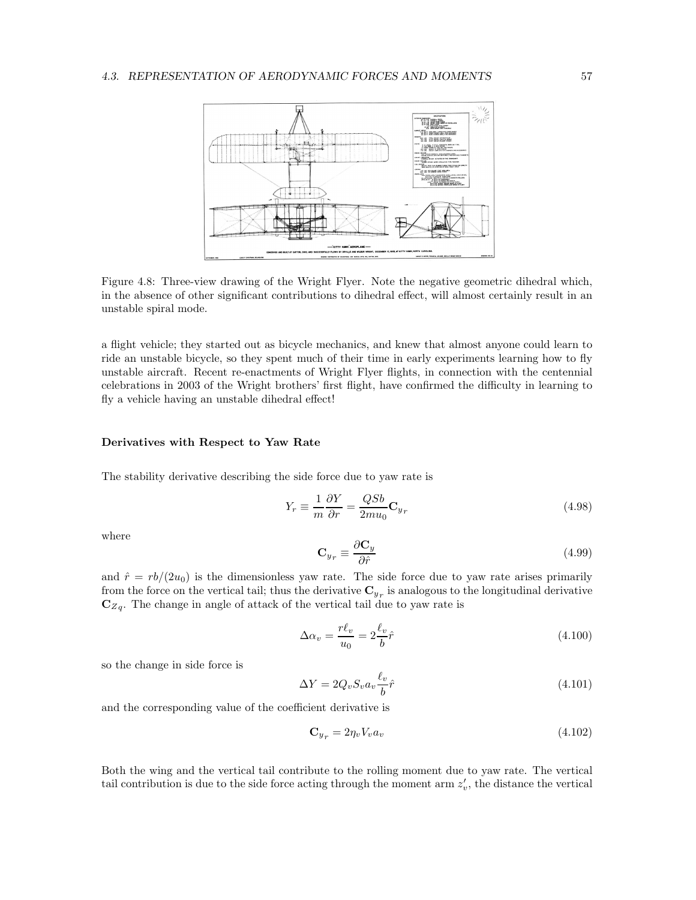

Figure 4.8: Three-view drawing of the Wright Flyer. Note the negative geometric dihedral which, in the absence of other significant contributions to dihedral effect, will almost certainly result in an unstable spiral mode.

a flight vehicle; they started out as bicycle mechanics, and knew that almost anyone could learn to ride an unstable bicycle, so they spent much of their time in early experiments learning how to fly unstable aircraft. Recent re-enactments of Wright Flyer flights, in connection with the centennial celebrations in 2003 of the Wright brothers' first flight, have confirmed the difficulty in learning to fly a vehicle having an unstable dihedral effect!

#### Derivatives with Respect to Yaw Rate

The stability derivative describing the side force due to yaw rate is

$$
Y_r \equiv \frac{1}{m} \frac{\partial Y}{\partial r} = \frac{Q S b}{2m u_0} \mathbf{C}_{y_r}
$$
\n(4.98)

where

$$
\mathbf{C}_{y_r} \equiv \frac{\partial \mathbf{C}_y}{\partial \hat{r}}\tag{4.99}
$$

and  $\hat{r} = rb/(2u_0)$  is the dimensionless yaw rate. The side force due to yaw rate arises primarily from the force on the vertical tail; thus the derivative  $\mathbf{C}_{y_r}$  is analogous to the longitudinal derivative  $\mathbf{C}_{Zq}$ . The change in angle of attack of the vertical tail due to yaw rate is

$$
\Delta \alpha_v = \frac{r\ell_v}{u_0} = 2\frac{\ell_v}{b}\hat{r}
$$
\n(4.100)

so the change in side force is

$$
\Delta Y = 2Q_v S_v a_v \frac{\ell_v}{b} \hat{r}
$$
\n(4.101)

and the corresponding value of the coefficient derivative is

$$
\mathbf{C}_{y_r} = 2\eta_v V_v a_v \tag{4.102}
$$

Both the wing and the vertical tail contribute to the rolling moment due to yaw rate. The vertical tail contribution is due to the side force acting through the moment arm  $z'_v$ , the distance the vertical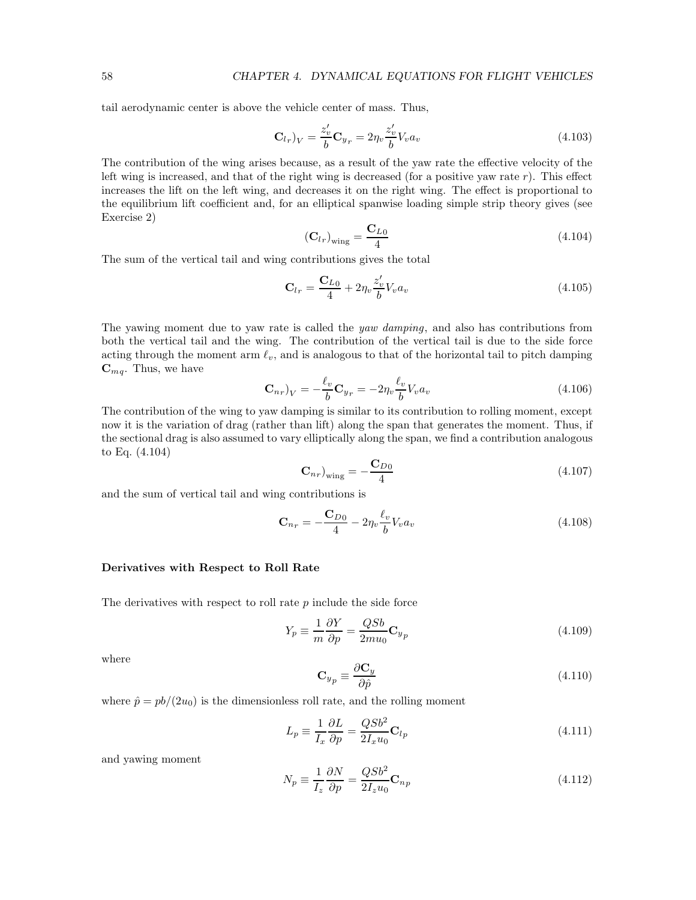tail aerodynamic center is above the vehicle center of mass. Thus,

$$
\mathbf{C}_{lr}\right)_{V} = \frac{z'_{v}}{b}\mathbf{C}_{y_{r}} = 2\eta_{v}\frac{z'_{v}}{b}V_{v}a_{v}
$$
\n(4.103)

The contribution of the wing arises because, as a result of the yaw rate the effective velocity of the left wing is increased, and that of the right wing is decreased (for a positive yaw rate  $r$ ). This effect increases the lift on the left wing, and decreases it on the right wing. The effect is proportional to the equilibrium lift coefficient and, for an elliptical spanwise loading simple strip theory gives (see Exercise 2)

$$
\left(\mathbf{C}_{lr}\right)_{\text{wing}} = \frac{\mathbf{C}_{L0}}{4} \tag{4.104}
$$

The sum of the vertical tail and wing contributions gives the total

$$
\mathbf{C}_{l_r} = \frac{\mathbf{C}_{L0}}{4} + 2\eta_v \frac{z_v'}{b} V_v a_v \tag{4.105}
$$

The yawing moment due to yaw rate is called the *yaw damping*, and also has contributions from both the vertical tail and the wing. The contribution of the vertical tail is due to the side force acting through the moment arm  $\ell_v$ , and is analogous to that of the horizontal tail to pitch damping  $\mathbf{C}_{mq}$ . Thus, we have

$$
\mathbf{C}_{n_r}\mathbf{)}_V = -\frac{\ell_v}{b}\mathbf{C}_{y_r} = -2\eta_v \frac{\ell_v}{b} V_v a_v \tag{4.106}
$$

The contribution of the wing to yaw damping is similar to its contribution to rolling moment, except now it is the variation of drag (rather than lift) along the span that generates the moment. Thus, if the sectional drag is also assumed to vary elliptically along the span, we find a contribution analogous to Eq. (4.104)

$$
\mathbf{C}_{nr}\big)_{\text{wing}} = -\frac{\mathbf{C}_{D0}}{4} \tag{4.107}
$$

and the sum of vertical tail and wing contributions is

$$
\mathbf{C}_{nr} = -\frac{\mathbf{C}_{D0}}{4} - 2\eta_v \frac{\ell_v}{b} V_v a_v \tag{4.108}
$$

#### Derivatives with Respect to Roll Rate

The derivatives with respect to roll rate p include the side force

$$
Y_p \equiv \frac{1}{m} \frac{\partial Y}{\partial p} = \frac{Q S b}{2 m u_0} \mathbf{C}_{y_p}
$$
\n(4.109)

where

$$
\mathbf{C}_{y_p} \equiv \frac{\partial \mathbf{C}_y}{\partial \hat{p}} \tag{4.110}
$$

where  $\hat{p} = pb/(2u_0)$  is the dimensionless roll rate, and the rolling moment

$$
L_p \equiv \frac{1}{I_x} \frac{\partial L}{\partial p} = \frac{Q S b^2}{2 I_x u_0} \mathbf{C}_{lp}
$$
\n(4.111)

and yawing moment

$$
N_p \equiv \frac{1}{I_z} \frac{\partial N}{\partial p} = \frac{Q S b^2}{2 I_z u_0} \mathbf{C}_{n p}
$$
\n(4.112)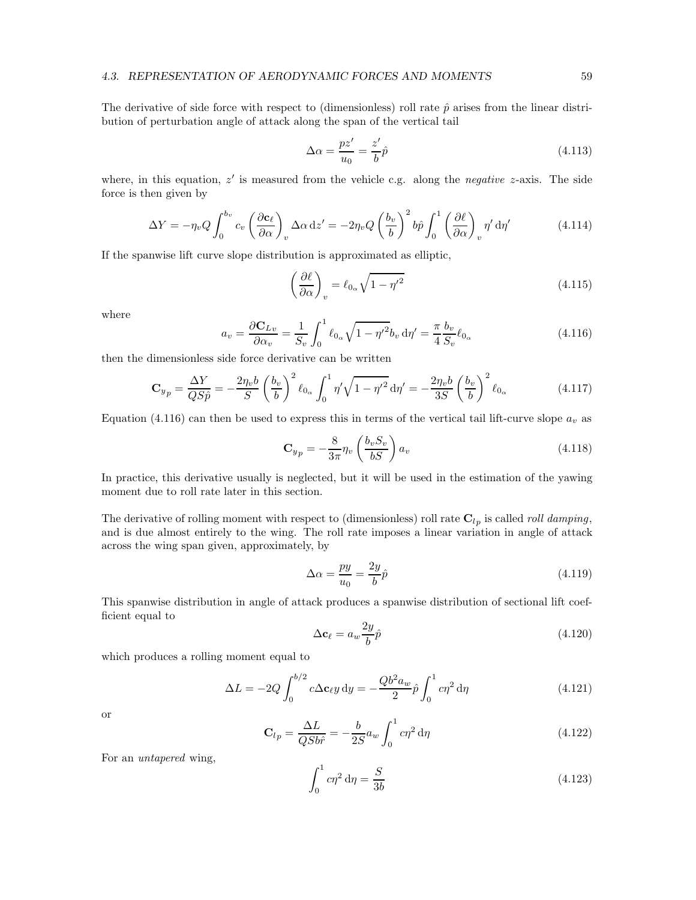The derivative of side force with respect to (dimensionless) roll rate  $\hat{p}$  arises from the linear distribution of perturbation angle of attack along the span of the vertical tail

$$
\Delta \alpha = \frac{pz'}{u_0} = \frac{z'}{b}\hat{p}
$$
\n(4.113)

where, in this equation,  $z'$  is measured from the vehicle c.g. along the *negative*  $z$ -axis. The side force is then given by

$$
\Delta Y = -\eta_v Q \int_0^{b_v} c_v \left(\frac{\partial \mathbf{c}_\ell}{\partial \alpha}\right)_v \Delta \alpha \, \mathrm{d}z' = -2\eta_v Q \left(\frac{b_v}{b}\right)^2 b \hat{p} \int_0^1 \left(\frac{\partial \ell}{\partial \alpha}\right)_v \eta' \, \mathrm{d}\eta' \tag{4.114}
$$

If the spanwise lift curve slope distribution is approximated as elliptic,

$$
\left(\frac{\partial \ell}{\partial \alpha}\right)_v = \ell_{0_\alpha} \sqrt{1 - {\eta'}^2} \tag{4.115}
$$

where

$$
a_v = \frac{\partial \mathbf{C}_{Lv}}{\partial \alpha_v} = \frac{1}{S_v} \int_0^1 \ell_{0_\alpha} \sqrt{1 - \eta'^2} b_v \, \mathrm{d}\eta' = \frac{\pi}{4} \frac{b_v}{S_v} \ell_{0_\alpha} \tag{4.116}
$$

then the dimensionless side force derivative can be written

$$
\mathbf{C}_{y_p} = \frac{\Delta Y}{Q S \hat{p}} = -\frac{2\eta_v b}{S} \left(\frac{b_v}{b}\right)^2 \ell_{0_\alpha} \int_0^1 \eta' \sqrt{1 - {\eta'}^2} \, \mathrm{d}\eta' = -\frac{2\eta_v b}{3S} \left(\frac{b_v}{b}\right)^2 \ell_{0_\alpha} \tag{4.117}
$$

Equation (4.116) can then be used to express this in terms of the vertical tail lift-curve slope  $a_v$  as

$$
\mathbf{C}_{y_p} = -\frac{8}{3\pi} \eta_v \left(\frac{b_v S_v}{bS}\right) a_v \tag{4.118}
$$

In practice, this derivative usually is neglected, but it will be used in the estimation of the yawing moment due to roll rate later in this section.

The derivative of rolling moment with respect to (dimensionless) roll rate  $C_{lp}$  is called *roll damping*, and is due almost entirely to the wing. The roll rate imposes a linear variation in angle of attack across the wing span given, approximately, by

$$
\Delta \alpha = \frac{py}{u_0} = \frac{2y}{b}\hat{p}
$$
\n(4.119)

This spanwise distribution in angle of attack produces a spanwise distribution of sectional lift coefficient equal to

$$
\Delta \mathbf{c}_{\ell} = a_w \frac{2y}{b} \hat{p}
$$
\n(4.120)

which produces a rolling moment equal to

$$
\Delta L = -2Q \int_0^{b/2} c \Delta \mathbf{c}_{\ell} y \, \mathrm{d}y = -\frac{Q b^2 a_w}{2} \hat{p} \int_0^1 c \eta^2 \, \mathrm{d}\eta \tag{4.121}
$$

or

$$
\mathbf{C}_{lp} = \frac{\Delta L}{Q S b \hat{r}} = -\frac{b}{2S} a_w \int_0^1 c \eta^2 d\eta \qquad (4.122)
$$

For an untapered wing,

$$
\int_0^1 c\eta^2 d\eta = \frac{S}{3b} \tag{4.123}
$$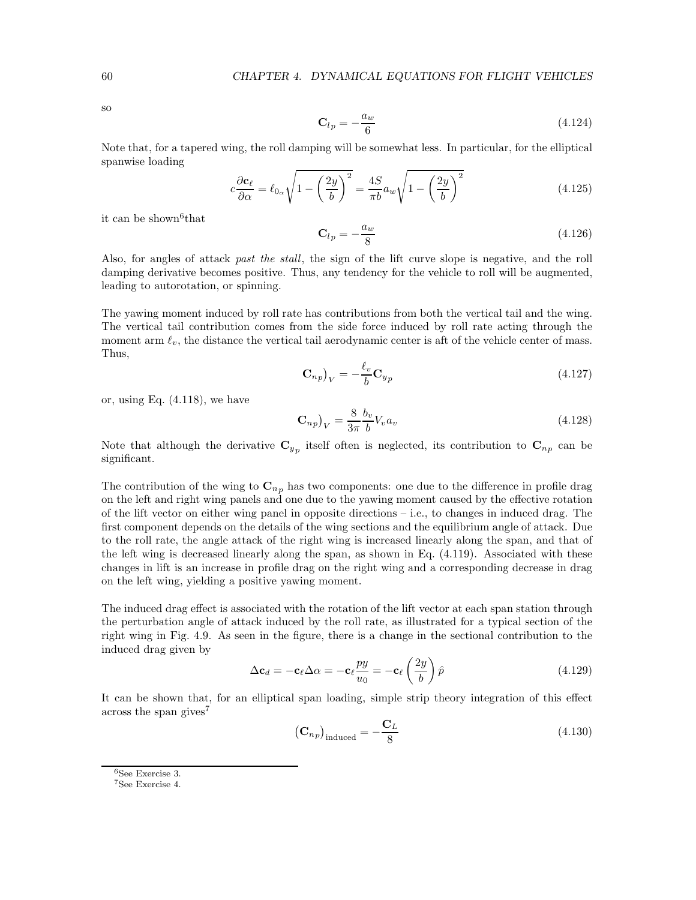so

$$
\mathbf{C}_{lp} = -\frac{a_w}{6} \tag{4.124}
$$

Note that, for a tapered wing, the roll damping will be somewhat less. In particular, for the elliptical spanwise loading

$$
c\frac{\partial \mathbf{c}_{\ell}}{\partial \alpha} = \ell_{0\alpha} \sqrt{1 - \left(\frac{2y}{b}\right)^2} = \frac{4S}{\pi b} a_w \sqrt{1 - \left(\frac{2y}{b}\right)^2} \tag{4.125}
$$

it can be shown<sup>6</sup>that

$$
\mathbf{C}_{lp} = -\frac{a_w}{8} \tag{4.126}
$$

Also, for angles of attack past the stall, the sign of the lift curve slope is negative, and the roll damping derivative becomes positive. Thus, any tendency for the vehicle to roll will be augmented, leading to autorotation, or spinning.

The yawing moment induced by roll rate has contributions from both the vertical tail and the wing. The vertical tail contribution comes from the side force induced by roll rate acting through the moment arm  $\ell_v$ , the distance the vertical tail aerodynamic center is aft of the vehicle center of mass. Thus,

$$
\mathbf{C}_{np}\big)_V = -\frac{\ell_v}{b}\mathbf{C}_{y_p} \tag{4.127}
$$

or, using Eq. (4.118), we have

$$
\mathbf{C}_{n_p}\big)_V = \frac{8}{3\pi} \frac{b_v}{b} V_v a_v \tag{4.128}
$$

Note that although the derivative  $\mathbf{C}_{y_p}$  itself often is neglected, its contribution to  $\mathbf{C}_{n_p}$  can be significant.

The contribution of the wing to  $C_{n_p}$  has two components: one due to the difference in profile drag on the left and right wing panels and one due to the yawing moment caused by the effective rotation of the lift vector on either wing panel in opposite directions – i.e., to changes in induced drag. The first component depends on the details of the wing sections and the equilibrium angle of attack. Due to the roll rate, the angle attack of the right wing is increased linearly along the span, and that of the left wing is decreased linearly along the span, as shown in Eq. (4.119). Associated with these changes in lift is an increase in profile drag on the right wing and a corresponding decrease in drag on the left wing, yielding a positive yawing moment.

The induced drag effect is associated with the rotation of the lift vector at each span station through the perturbation angle of attack induced by the roll rate, as illustrated for a typical section of the right wing in Fig. 4.9. As seen in the figure, there is a change in the sectional contribution to the induced drag given by

$$
\Delta \mathbf{c}_d = -\mathbf{c}_\ell \Delta \alpha = -\mathbf{c}_\ell \frac{py}{u_0} = -\mathbf{c}_\ell \left(\frac{2y}{b}\right) \hat{p}
$$
(4.129)

It can be shown that, for an elliptical span loading, simple strip theory integration of this effect  $\arccos$  the span gives<sup>7</sup>

$$
\left(\mathbf{C}_{np}\right)_{\text{induced}} = -\frac{\mathbf{C}_L}{8} \tag{4.130}
$$

 $6$ See Exercise 3.

<sup>7</sup>See Exercise 4.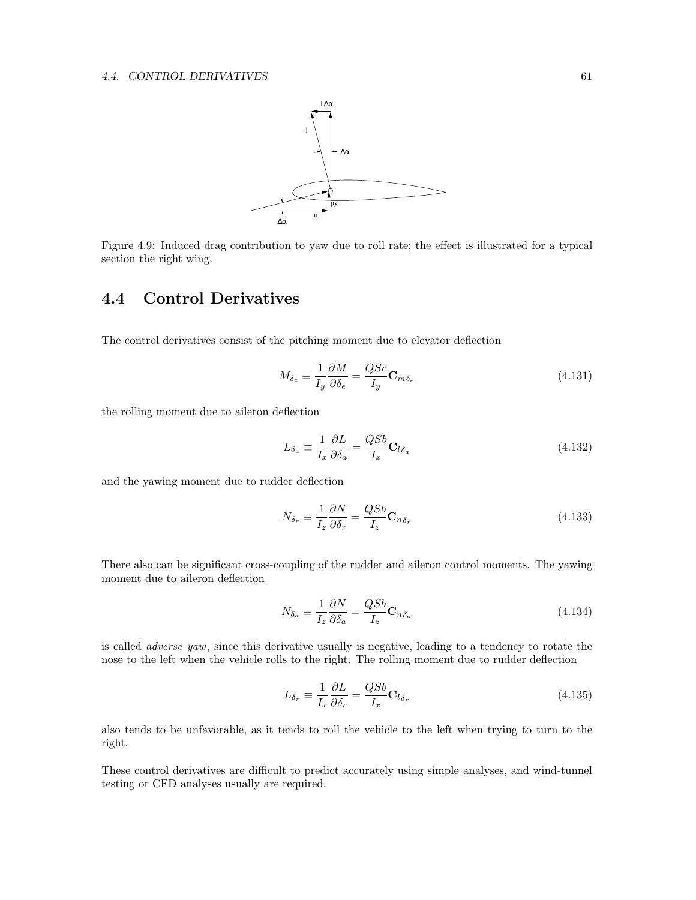

Figure 4.9: Induced drag contribution to yaw due to roll rate; the effect is illustrated for a typical section the right wing.

### 4.4 Control Derivatives

The control derivatives consist of the pitching moment due to elevator deflection

$$
M_{\delta_e} \equiv \frac{1}{I_y} \frac{\partial M}{\partial \delta_e} = \frac{Q S \bar{c}}{I_y} \mathbf{C}_{m \delta_e}
$$
\n(4.131)

the rolling moment due to aileron deflection

$$
L_{\delta_a} \equiv \frac{1}{I_x} \frac{\partial L}{\partial \delta_a} = \frac{Q S b}{I_x} \mathbf{C}_{l \delta_a}
$$
\n(4.132)

and the yawing moment due to rudder deflection

$$
N_{\delta_r} \equiv \frac{1}{I_z} \frac{\partial N}{\partial \delta_r} = \frac{Q S b}{I_z} \mathbf{C}_{n\delta_r}
$$
\n(4.133)

There also can be significant cross-coupling of the rudder and aileron control moments. The yawing moment due to aileron deflection

$$
N_{\delta_a} \equiv \frac{1}{I_z} \frac{\partial N}{\partial \delta_a} = \frac{Q S b}{I_z} \mathbf{C}_{n\delta_a}
$$
\n(4.134)

is called adverse yaw, since this derivative usually is negative, leading to a tendency to rotate the nose to the left when the vehicle rolls to the right. The rolling moment due to rudder deflection

$$
L_{\delta_r} \equiv \frac{1}{I_x} \frac{\partial L}{\partial \delta_r} = \frac{Q S b}{I_x} \mathbf{C}_{l \delta_r}
$$
\n(4.135)

also tends to be unfavorable, as it tends to roll the vehicle to the left when trying to turn to the right.

These control derivatives are difficult to predict accurately using simple analyses, and wind-tunnel testing or CFD analyses usually are required.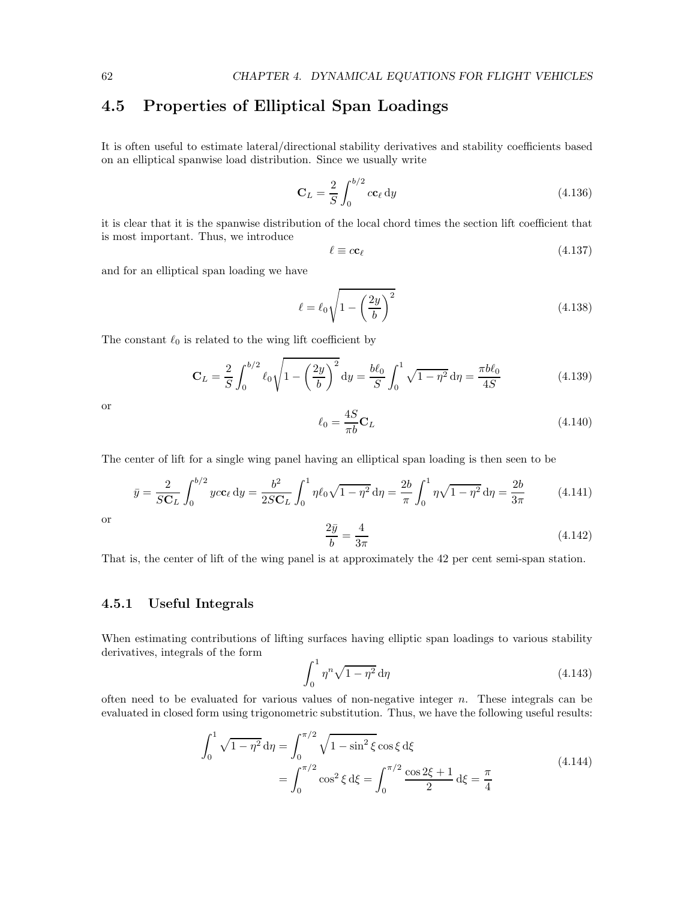## 4.5 Properties of Elliptical Span Loadings

It is often useful to estimate lateral/directional stability derivatives and stability coefficients based on an elliptical spanwise load distribution. Since we usually write

$$
\mathbf{C}_L = \frac{2}{S} \int_0^{b/2} c \mathbf{c}_\ell \, \mathrm{d}y \tag{4.136}
$$

it is clear that it is the spanwise distribution of the local chord times the section lift coefficient that is most important. Thus, we introduce

$$
\ell \equiv c \mathbf{c}_{\ell} \tag{4.137}
$$

and for an elliptical span loading we have

$$
\ell = \ell_0 \sqrt{1 - \left(\frac{2y}{b}\right)^2} \tag{4.138}
$$

The constant  $\ell_0$  is related to the wing lift coefficient by

$$
\mathbf{C}_{L} = \frac{2}{S} \int_{0}^{b/2} \ell_{0} \sqrt{1 - \left(\frac{2y}{b}\right)^{2}} dy = \frac{b\ell_{0}}{S} \int_{0}^{1} \sqrt{1 - \eta^{2}} d\eta = \frac{\pi b\ell_{0}}{4S}
$$
(4.139)

or

$$
\ell_0 = \frac{4S}{\pi b} \mathbf{C}_L \tag{4.140}
$$

The center of lift for a single wing panel having an elliptical span loading is then seen to be

$$
\bar{y} = \frac{2}{S C_L} \int_0^{b/2} y c c_\ell \, \mathrm{d}y = \frac{b^2}{2S C_L} \int_0^1 \eta \ell_0 \sqrt{1 - \eta^2} \, \mathrm{d}\eta = \frac{2b}{\pi} \int_0^1 \eta \sqrt{1 - \eta^2} \, \mathrm{d}\eta = \frac{2b}{3\pi} \tag{4.141}
$$

or

$$
\frac{2\bar{y}}{b} = \frac{4}{3\pi} \tag{4.142}
$$

That is, the center of lift of the wing panel is at approximately the 42 per cent semi-span station.

#### 4.5.1 Useful Integrals

When estimating contributions of lifting surfaces having elliptic span loadings to various stability derivatives, integrals of the form

$$
\int_0^1 \eta^n \sqrt{1 - \eta^2} \, \mathrm{d}\eta \tag{4.143}
$$

often need to be evaluated for various values of non-negative integer  $n$ . These integrals can be evaluated in closed form using trigonometric substitution. Thus, we have the following useful results:

$$
\int_0^1 \sqrt{1 - \eta^2} \, d\eta = \int_0^{\pi/2} \sqrt{1 - \sin^2 \xi} \cos \xi \, d\xi
$$
\n
$$
= \int_0^{\pi/2} \cos^2 \xi \, d\xi = \int_0^{\pi/2} \frac{\cos 2\xi + 1}{2} \, d\xi = \frac{\pi}{4}
$$
\n(4.144)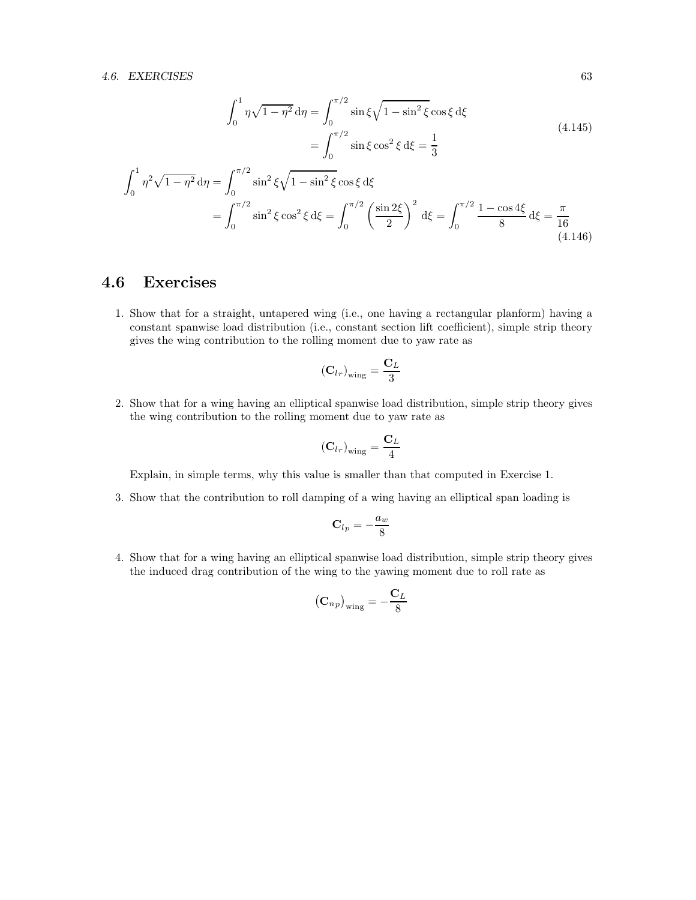$$
\int_0^1 \eta \sqrt{1 - \eta^2} \, d\eta = \int_0^{\pi/2} \sin \xi \sqrt{1 - \sin^2 \xi} \cos \xi \, d\xi
$$
\n
$$
= \int_0^{\pi/2} \sin \xi \cos^2 \xi \, d\xi = \frac{1}{3}
$$
\n(4.145)

$$
\int_0^1 \eta^2 \sqrt{1 - \eta^2} \, d\eta = \int_0^{\pi/2} \sin^2 \xi \sqrt{1 - \sin^2 \xi} \cos \xi \, d\xi
$$

$$
= \int_0^{\pi/2} \sin^2 \xi \cos^2 \xi \, d\xi = \int_0^{\pi/2} \left(\frac{\sin 2\xi}{2}\right)^2 \, d\xi = \int_0^{\pi/2} \frac{1 - \cos 4\xi}{8} \, d\xi = \frac{\pi}{16}
$$
(4.146)

## 4.6 Exercises

1. Show that for a straight, untapered wing (i.e., one having a rectangular planform) having a constant spanwise load distribution (i.e., constant section lift coefficient), simple strip theory gives the wing contribution to the rolling moment due to yaw rate as

$$
\left(\mathbf{C}_{l_r}\right)_{\text{wing}} = \frac{\mathbf{C}_L}{3}
$$

2. Show that for a wing having an elliptical spanwise load distribution, simple strip theory gives the wing contribution to the rolling moment due to yaw rate as

$$
\left(\mathbf{C}_{l r}\right)_{\rm wing}=\frac{\mathbf{C}_{L}}{4}
$$

Explain, in simple terms, why this value is smaller than that computed in Exercise 1.

3. Show that the contribution to roll damping of a wing having an elliptical span loading is

$$
\mathbf{C}_{lp}=-\frac{a_w}{8}
$$

4. Show that for a wing having an elliptical spanwise load distribution, simple strip theory gives the induced drag contribution of the wing to the yawing moment due to roll rate as

$$
\left(\mathbf{C}_{n p}\right)_{\text{wing}} = -\frac{\mathbf{C}_{L}}{8}
$$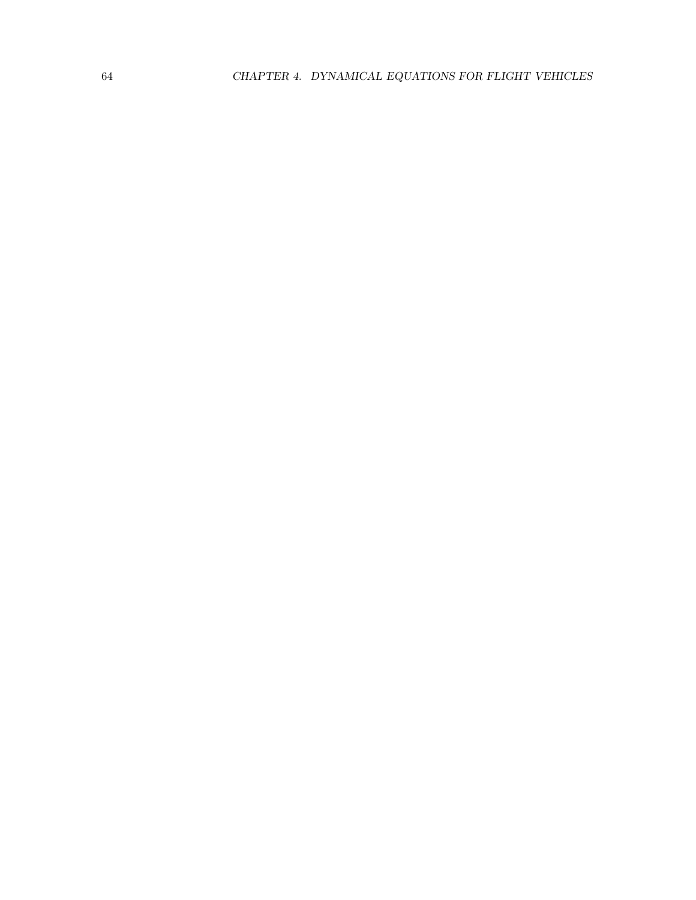## CHAPTER 4. DYNAMICAL EQUATIONS FOR FLIGHT VEHICLES